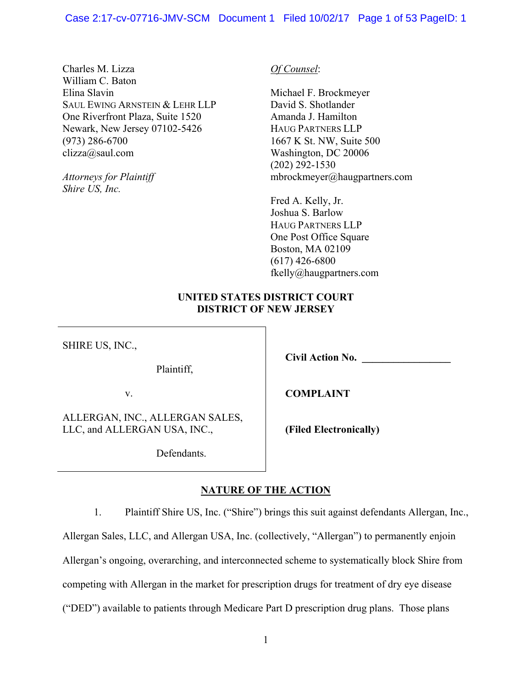Charles M. Lizza William C. Baton Elina Slavin SAUL EWING ARNSTEIN & LEHR LLP One Riverfront Plaza, Suite 1520 Newark, New Jersey 07102-5426 (973) 286-6700 clizza@saul.com

*Attorneys for Plaintiff Shire US, Inc.*

*Of Counsel*:

Michael F. Brockmeyer David S. Shotlander Amanda J. Hamilton HAUG PARTNERS LLP 1667 K St. NW, Suite 500 Washington, DC 20006 (202) 292-1530 mbrockmeyer@haugpartners.com

Fred A. Kelly, Jr. Joshua S. Barlow HAUG PARTNERS LLP One Post Office Square Boston, MA 02109 (617) 426-6800 fkelly@haugpartners.com

## **UNITED STATES DISTRICT COURT DISTRICT OF NEW JERSEY**

SHIRE US, INC.,

Plaintiff,

v.

ALLERGAN, INC., ALLERGAN SALES, LLC, and ALLERGAN USA, INC.,

Defendants.

**COMPLAINT** 

**Civil Action No. \_\_\_\_\_\_\_\_\_\_\_\_\_\_\_\_\_** 

**(Filed Electronically)**

# **NATURE OF THE ACTION**

1. Plaintiff Shire US, Inc. ("Shire") brings this suit against defendants Allergan, Inc.,

Allergan Sales, LLC, and Allergan USA, Inc. (collectively, "Allergan") to permanently enjoin Allergan's ongoing, overarching, and interconnected scheme to systematically block Shire from competing with Allergan in the market for prescription drugs for treatment of dry eye disease

("DED") available to patients through Medicare Part D prescription drug plans. Those plans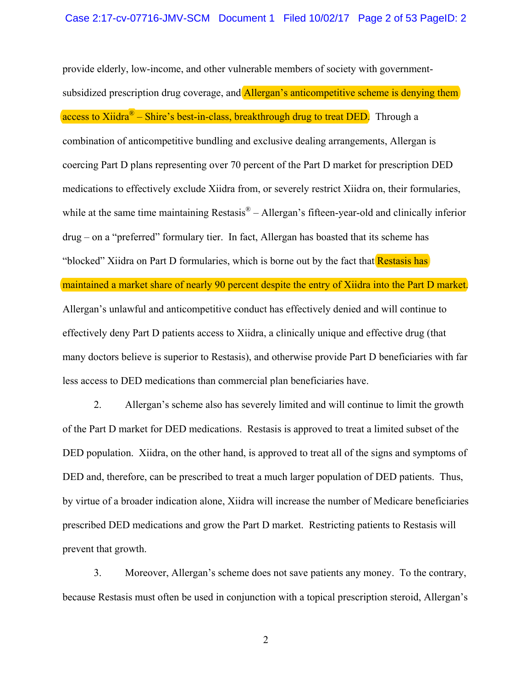provide elderly, low-income, and other vulnerable members of society with governmentsubsidized prescription drug coverage, and Allergan's anticompetitive scheme is denying them access to Xiidra<sup>®</sup> – Shire's best-in-class, breakthrough drug to treat DED. Through a combination of anticompetitive bundling and exclusive dealing arrangements, Allergan is coercing Part D plans representing over 70 percent of the Part D market for prescription DED medications to effectively exclude Xiidra from, or severely restrict Xiidra on, their formularies, while at the same time maintaining Restasis<sup>®</sup> – Allergan's fifteen-year-old and clinically inferior drug – on a "preferred" formulary tier. In fact, Allergan has boasted that its scheme has "blocked" Xiidra on Part D formularies, which is borne out by the fact that Restasis has maintained a market share of nearly 90 percent despite the entry of Xiidra into the Part D market. Allergan's unlawful and anticompetitive conduct has effectively denied and will continue to effectively deny Part D patients access to Xiidra, a clinically unique and effective drug (that many doctors believe is superior to Restasis), and otherwise provide Part D beneficiaries with far less access to DED medications than commercial plan beneficiaries have.

2. Allergan's scheme also has severely limited and will continue to limit the growth of the Part D market for DED medications. Restasis is approved to treat a limited subset of the DED population. Xiidra, on the other hand, is approved to treat all of the signs and symptoms of DED and, therefore, can be prescribed to treat a much larger population of DED patients. Thus, by virtue of a broader indication alone, Xiidra will increase the number of Medicare beneficiaries prescribed DED medications and grow the Part D market. Restricting patients to Restasis will prevent that growth.

3. Moreover, Allergan's scheme does not save patients any money. To the contrary, because Restasis must often be used in conjunction with a topical prescription steroid, Allergan's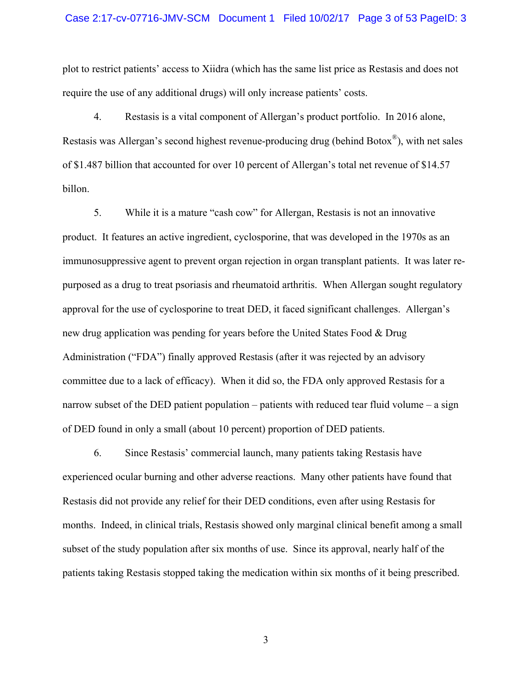#### Case 2:17-cv-07716-JMV-SCM Document 1 Filed 10/02/17 Page 3 of 53 PageID: 3

plot to restrict patients' access to Xiidra (which has the same list price as Restasis and does not require the use of any additional drugs) will only increase patients' costs.

4. Restasis is a vital component of Allergan's product portfolio. In 2016 alone, Restasis was Allergan's second highest revenue-producing drug (behind Botox®), with net sales of \$1.487 billion that accounted for over 10 percent of Allergan's total net revenue of \$14.57 billon.

5. While it is a mature "cash cow" for Allergan, Restasis is not an innovative product. It features an active ingredient, cyclosporine, that was developed in the 1970s as an immunosuppressive agent to prevent organ rejection in organ transplant patients. It was later repurposed as a drug to treat psoriasis and rheumatoid arthritis. When Allergan sought regulatory approval for the use of cyclosporine to treat DED, it faced significant challenges. Allergan's new drug application was pending for years before the United States Food & Drug Administration ("FDA") finally approved Restasis (after it was rejected by an advisory committee due to a lack of efficacy). When it did so, the FDA only approved Restasis for a narrow subset of the DED patient population – patients with reduced tear fluid volume – a sign of DED found in only a small (about 10 percent) proportion of DED patients.

6. Since Restasis' commercial launch, many patients taking Restasis have experienced ocular burning and other adverse reactions. Many other patients have found that Restasis did not provide any relief for their DED conditions, even after using Restasis for months. Indeed, in clinical trials, Restasis showed only marginal clinical benefit among a small subset of the study population after six months of use. Since its approval, nearly half of the patients taking Restasis stopped taking the medication within six months of it being prescribed.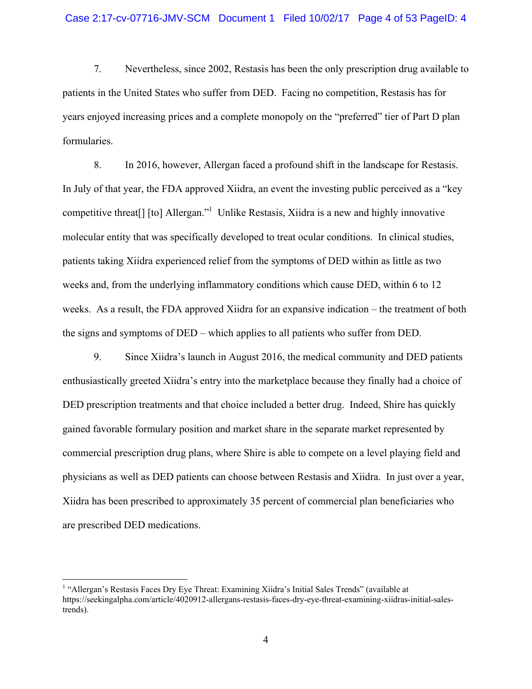7. Nevertheless, since 2002, Restasis has been the only prescription drug available to patients in the United States who suffer from DED. Facing no competition, Restasis has for years enjoyed increasing prices and a complete monopoly on the "preferred" tier of Part D plan formularies.

8. In 2016, however, Allergan faced a profound shift in the landscape for Restasis. In July of that year, the FDA approved Xiidra, an event the investing public perceived as a "key competitive threat<sup>[]</sup> [to] Allergan."<sup>1</sup> Unlike Restasis, Xiidra is a new and highly innovative molecular entity that was specifically developed to treat ocular conditions. In clinical studies, patients taking Xiidra experienced relief from the symptoms of DED within as little as two weeks and, from the underlying inflammatory conditions which cause DED, within 6 to 12 weeks. As a result, the FDA approved Xiidra for an expansive indication – the treatment of both the signs and symptoms of DED – which applies to all patients who suffer from DED.

9. Since Xiidra's launch in August 2016, the medical community and DED patients enthusiastically greeted Xiidra's entry into the marketplace because they finally had a choice of DED prescription treatments and that choice included a better drug. Indeed, Shire has quickly gained favorable formulary position and market share in the separate market represented by commercial prescription drug plans, where Shire is able to compete on a level playing field and physicians as well as DED patients can choose between Restasis and Xiidra. In just over a year, Xiidra has been prescribed to approximately 35 percent of commercial plan beneficiaries who are prescribed DED medications.

 $\overline{a}$ 

<sup>&</sup>lt;sup>1</sup> "Allergan's Restasis Faces Dry Eye Threat: Examining Xiidra's Initial Sales Trends" (available at https://seekingalpha.com/article/4020912-allergans-restasis-faces-dry-eye-threat-examining-xiidras-initial-salestrends).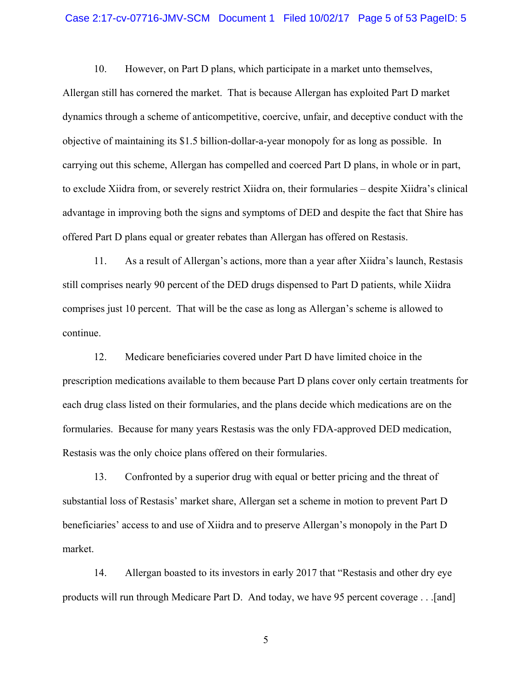#### Case 2:17-cv-07716-JMV-SCM Document 1 Filed 10/02/17 Page 5 of 53 PageID: 5

10. However, on Part D plans, which participate in a market unto themselves, Allergan still has cornered the market. That is because Allergan has exploited Part D market dynamics through a scheme of anticompetitive, coercive, unfair, and deceptive conduct with the objective of maintaining its \$1.5 billion-dollar-a-year monopoly for as long as possible. In carrying out this scheme, Allergan has compelled and coerced Part D plans, in whole or in part, to exclude Xiidra from, or severely restrict Xiidra on, their formularies – despite Xiidra's clinical advantage in improving both the signs and symptoms of DED and despite the fact that Shire has offered Part D plans equal or greater rebates than Allergan has offered on Restasis.

11. As a result of Allergan's actions, more than a year after Xiidra's launch, Restasis still comprises nearly 90 percent of the DED drugs dispensed to Part D patients, while Xiidra comprises just 10 percent. That will be the case as long as Allergan's scheme is allowed to continue.

12. Medicare beneficiaries covered under Part D have limited choice in the prescription medications available to them because Part D plans cover only certain treatments for each drug class listed on their formularies, and the plans decide which medications are on the formularies. Because for many years Restasis was the only FDA-approved DED medication, Restasis was the only choice plans offered on their formularies.

13. Confronted by a superior drug with equal or better pricing and the threat of substantial loss of Restasis' market share, Allergan set a scheme in motion to prevent Part D beneficiaries' access to and use of Xiidra and to preserve Allergan's monopoly in the Part D market.

14. Allergan boasted to its investors in early 2017 that "Restasis and other dry eye products will run through Medicare Part D. And today, we have 95 percent coverage . . .[and]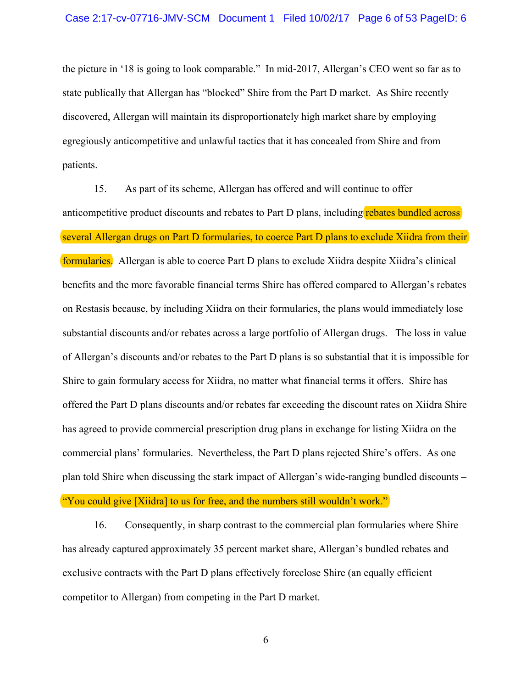the picture in '18 is going to look comparable." In mid-2017, Allergan's CEO went so far as to state publically that Allergan has "blocked" Shire from the Part D market. As Shire recently discovered, Allergan will maintain its disproportionately high market share by employing egregiously anticompetitive and unlawful tactics that it has concealed from Shire and from patients.

15. As part of its scheme, Allergan has offered and will continue to offer anticompetitive product discounts and rebates to Part D plans, including rebates bundled across several Allergan drugs on Part D formularies, to coerce Part D plans to exclude Xiidra from their formularies. Allergan is able to coerce Part D plans to exclude Xiidra despite Xiidra's clinical benefits and the more favorable financial terms Shire has offered compared to Allergan's rebates on Restasis because, by including Xiidra on their formularies, the plans would immediately lose substantial discounts and/or rebates across a large portfolio of Allergan drugs. The loss in value of Allergan's discounts and/or rebates to the Part D plans is so substantial that it is impossible for Shire to gain formulary access for Xiidra, no matter what financial terms it offers. Shire has offered the Part D plans discounts and/or rebates far exceeding the discount rates on Xiidra Shire has agreed to provide commercial prescription drug plans in exchange for listing Xiidra on the commercial plans' formularies. Nevertheless, the Part D plans rejected Shire's offers. As one plan told Shire when discussing the stark impact of Allergan's wide-ranging bundled discounts – "You could give [Xiidra] to us for free, and the numbers still wouldn't work."

16. Consequently, in sharp contrast to the commercial plan formularies where Shire has already captured approximately 35 percent market share, Allergan's bundled rebates and exclusive contracts with the Part D plans effectively foreclose Shire (an equally efficient competitor to Allergan) from competing in the Part D market.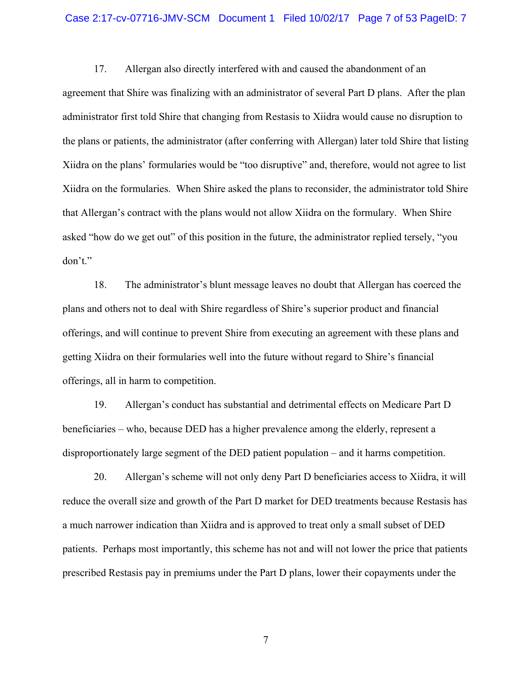#### Case 2:17-cv-07716-JMV-SCM Document 1 Filed 10/02/17 Page 7 of 53 PageID: 7

17. Allergan also directly interfered with and caused the abandonment of an agreement that Shire was finalizing with an administrator of several Part D plans. After the plan administrator first told Shire that changing from Restasis to Xiidra would cause no disruption to the plans or patients, the administrator (after conferring with Allergan) later told Shire that listing Xiidra on the plans' formularies would be "too disruptive" and, therefore, would not agree to list Xiidra on the formularies. When Shire asked the plans to reconsider, the administrator told Shire that Allergan's contract with the plans would not allow Xiidra on the formulary. When Shire asked "how do we get out" of this position in the future, the administrator replied tersely, "you don't."

18. The administrator's blunt message leaves no doubt that Allergan has coerced the plans and others not to deal with Shire regardless of Shire's superior product and financial offerings, and will continue to prevent Shire from executing an agreement with these plans and getting Xiidra on their formularies well into the future without regard to Shire's financial offerings, all in harm to competition.

19. Allergan's conduct has substantial and detrimental effects on Medicare Part D beneficiaries – who, because DED has a higher prevalence among the elderly, represent a disproportionately large segment of the DED patient population – and it harms competition.

20. Allergan's scheme will not only deny Part D beneficiaries access to Xiidra, it will reduce the overall size and growth of the Part D market for DED treatments because Restasis has a much narrower indication than Xiidra and is approved to treat only a small subset of DED patients. Perhaps most importantly, this scheme has not and will not lower the price that patients prescribed Restasis pay in premiums under the Part D plans, lower their copayments under the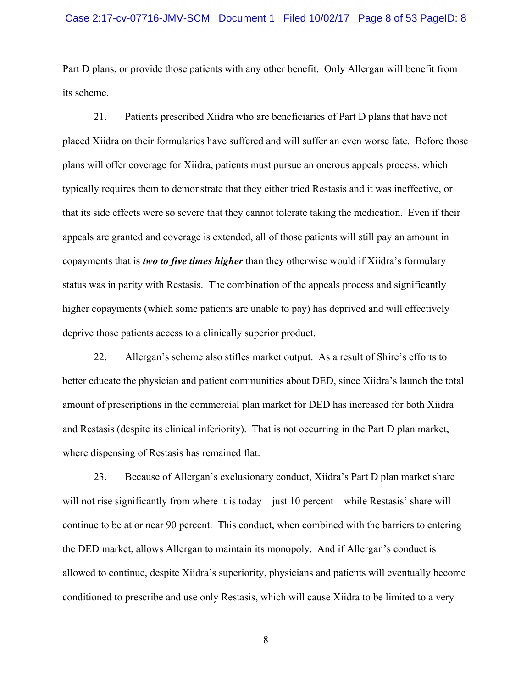Part D plans, or provide those patients with any other benefit. Only Allergan will benefit from its scheme.

21. Patients prescribed Xiidra who are beneficiaries of Part D plans that have not placed Xiidra on their formularies have suffered and will suffer an even worse fate. Before those plans will offer coverage for Xiidra, patients must pursue an onerous appeals process, which typically requires them to demonstrate that they either tried Restasis and it was ineffective, or that its side effects were so severe that they cannot tolerate taking the medication. Even if their appeals are granted and coverage is extended, all of those patients will still pay an amount in copayments that is *two to five times higher* than they otherwise would if Xiidra's formulary status was in parity with Restasis. The combination of the appeals process and significantly higher copayments (which some patients are unable to pay) has deprived and will effectively deprive those patients access to a clinically superior product.

22. Allergan's scheme also stifles market output. As a result of Shire's efforts to better educate the physician and patient communities about DED, since Xiidra's launch the total amount of prescriptions in the commercial plan market for DED has increased for both Xiidra and Restasis (despite its clinical inferiority). That is not occurring in the Part D plan market, where dispensing of Restasis has remained flat.

23. Because of Allergan's exclusionary conduct, Xiidra's Part D plan market share will not rise significantly from where it is today – just 10 percent – while Restasis' share will continue to be at or near 90 percent. This conduct, when combined with the barriers to entering the DED market, allows Allergan to maintain its monopoly. And if Allergan's conduct is allowed to continue, despite Xiidra's superiority, physicians and patients will eventually become conditioned to prescribe and use only Restasis, which will cause Xiidra to be limited to a very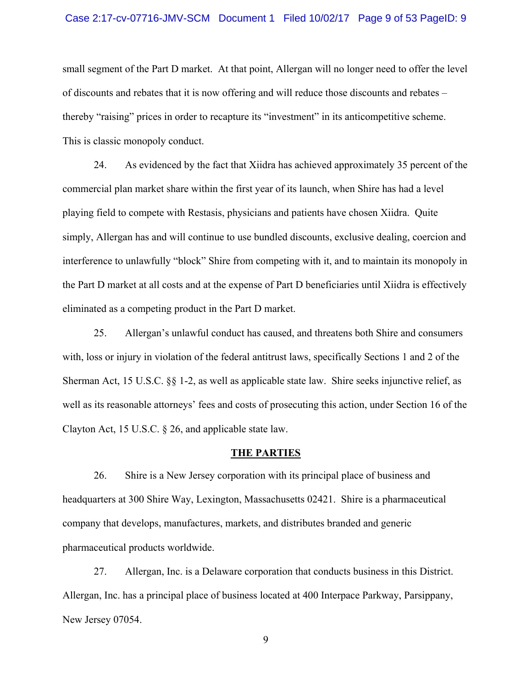#### Case 2:17-cv-07716-JMV-SCM Document 1 Filed 10/02/17 Page 9 of 53 PageID: 9

small segment of the Part D market. At that point, Allergan will no longer need to offer the level of discounts and rebates that it is now offering and will reduce those discounts and rebates – thereby "raising" prices in order to recapture its "investment" in its anticompetitive scheme. This is classic monopoly conduct.

24. As evidenced by the fact that Xiidra has achieved approximately 35 percent of the commercial plan market share within the first year of its launch, when Shire has had a level playing field to compete with Restasis, physicians and patients have chosen Xiidra. Quite simply, Allergan has and will continue to use bundled discounts, exclusive dealing, coercion and interference to unlawfully "block" Shire from competing with it, and to maintain its monopoly in the Part D market at all costs and at the expense of Part D beneficiaries until Xiidra is effectively eliminated as a competing product in the Part D market.

25. Allergan's unlawful conduct has caused, and threatens both Shire and consumers with, loss or injury in violation of the federal antitrust laws, specifically Sections 1 and 2 of the Sherman Act, 15 U.S.C. §§ 1-2, as well as applicable state law. Shire seeks injunctive relief, as well as its reasonable attorneys' fees and costs of prosecuting this action, under Section 16 of the Clayton Act, 15 U.S.C. § 26, and applicable state law.

### **THE PARTIES**

26. Shire is a New Jersey corporation with its principal place of business and headquarters at 300 Shire Way, Lexington, Massachusetts 02421. Shire is a pharmaceutical company that develops, manufactures, markets, and distributes branded and generic pharmaceutical products worldwide.

27. Allergan, Inc. is a Delaware corporation that conducts business in this District. Allergan, Inc. has a principal place of business located at 400 Interpace Parkway, Parsippany, New Jersey 07054.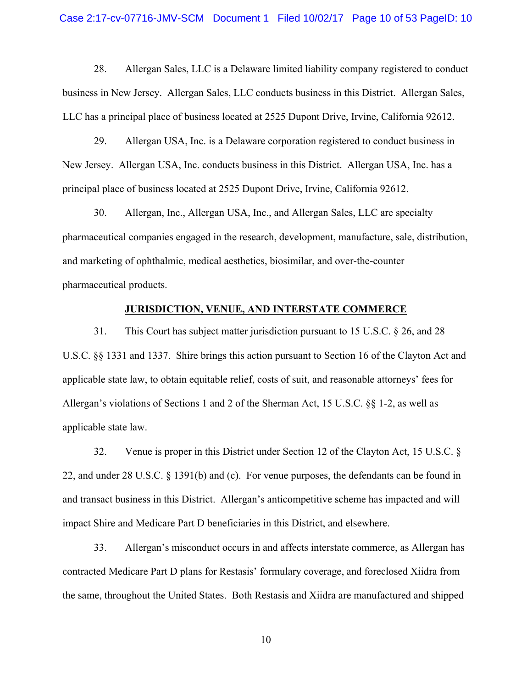28. Allergan Sales, LLC is a Delaware limited liability company registered to conduct business in New Jersey. Allergan Sales, LLC conducts business in this District. Allergan Sales, LLC has a principal place of business located at 2525 Dupont Drive, Irvine, California 92612.

29. Allergan USA, Inc. is a Delaware corporation registered to conduct business in New Jersey. Allergan USA, Inc. conducts business in this District. Allergan USA, Inc. has a principal place of business located at 2525 Dupont Drive, Irvine, California 92612.

30. Allergan, Inc., Allergan USA, Inc., and Allergan Sales, LLC are specialty pharmaceutical companies engaged in the research, development, manufacture, sale, distribution, and marketing of ophthalmic, medical aesthetics, biosimilar, and over-the-counter pharmaceutical products.

## **JURISDICTION, VENUE, AND INTERSTATE COMMERCE**

31. This Court has subject matter jurisdiction pursuant to 15 U.S.C. § 26, and 28 U.S.C. §§ 1331 and 1337. Shire brings this action pursuant to Section 16 of the Clayton Act and applicable state law, to obtain equitable relief, costs of suit, and reasonable attorneys' fees for Allergan's violations of Sections 1 and 2 of the Sherman Act, 15 U.S.C. §§ 1-2, as well as applicable state law.

32. Venue is proper in this District under Section 12 of the Clayton Act, 15 U.S.C. § 22, and under 28 U.S.C. § 1391(b) and (c). For venue purposes, the defendants can be found in and transact business in this District. Allergan's anticompetitive scheme has impacted and will impact Shire and Medicare Part D beneficiaries in this District, and elsewhere.

33. Allergan's misconduct occurs in and affects interstate commerce, as Allergan has contracted Medicare Part D plans for Restasis' formulary coverage, and foreclosed Xiidra from the same, throughout the United States. Both Restasis and Xiidra are manufactured and shipped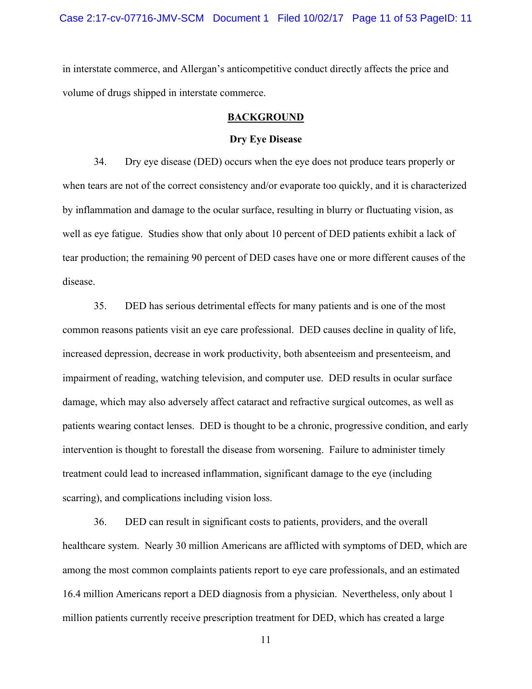in interstate commerce, and Allergan's anticompetitive conduct directly affects the price and volume of drugs shipped in interstate commerce.

### **BACKGROUND**

### **Dry Eye Disease**

34. Dry eye disease (DED) occurs when the eye does not produce tears properly or when tears are not of the correct consistency and/or evaporate too quickly, and it is characterized by inflammation and damage to the ocular surface, resulting in blurry or fluctuating vision, as well as eye fatigue. Studies show that only about 10 percent of DED patients exhibit a lack of tear production; the remaining 90 percent of DED cases have one or more different causes of the disease.

35. DED has serious detrimental effects for many patients and is one of the most common reasons patients visit an eye care professional. DED causes decline in quality of life, increased depression, decrease in work productivity, both absenteeism and presenteeism, and impairment of reading, watching television, and computer use. DED results in ocular surface damage, which may also adversely affect cataract and refractive surgical outcomes, as well as patients wearing contact lenses. DED is thought to be a chronic, progressive condition, and early intervention is thought to forestall the disease from worsening. Failure to administer timely treatment could lead to increased inflammation, significant damage to the eye (including scarring), and complications including vision loss.

36. DED can result in significant costs to patients, providers, and the overall healthcare system. Nearly 30 million Americans are afflicted with symptoms of DED, which are among the most common complaints patients report to eye care professionals, and an estimated 16.4 million Americans report a DED diagnosis from a physician. Nevertheless, only about 1 million patients currently receive prescription treatment for DED, which has created a large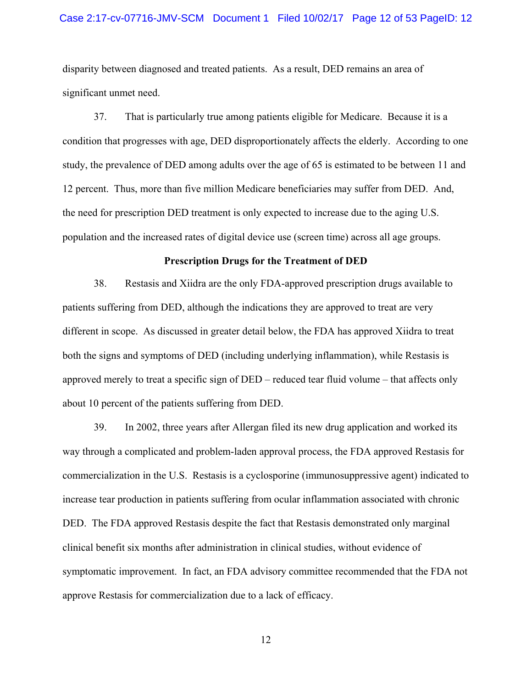#### Case 2:17-cv-07716-JMV-SCM Document 1 Filed 10/02/17 Page 12 of 53 PageID: 12

disparity between diagnosed and treated patients. As a result, DED remains an area of significant unmet need.

37. That is particularly true among patients eligible for Medicare. Because it is a condition that progresses with age, DED disproportionately affects the elderly. According to one study, the prevalence of DED among adults over the age of 65 is estimated to be between 11 and 12 percent. Thus, more than five million Medicare beneficiaries may suffer from DED. And, the need for prescription DED treatment is only expected to increase due to the aging U.S. population and the increased rates of digital device use (screen time) across all age groups.

#### **Prescription Drugs for the Treatment of DED**

38. Restasis and Xiidra are the only FDA-approved prescription drugs available to patients suffering from DED, although the indications they are approved to treat are very different in scope. As discussed in greater detail below, the FDA has approved Xiidra to treat both the signs and symptoms of DED (including underlying inflammation), while Restasis is approved merely to treat a specific sign of DED – reduced tear fluid volume – that affects only about 10 percent of the patients suffering from DED.

39. In 2002, three years after Allergan filed its new drug application and worked its way through a complicated and problem-laden approval process, the FDA approved Restasis for commercialization in the U.S. Restasis is a cyclosporine (immunosuppressive agent) indicated to increase tear production in patients suffering from ocular inflammation associated with chronic DED. The FDA approved Restasis despite the fact that Restasis demonstrated only marginal clinical benefit six months after administration in clinical studies, without evidence of symptomatic improvement. In fact, an FDA advisory committee recommended that the FDA not approve Restasis for commercialization due to a lack of efficacy.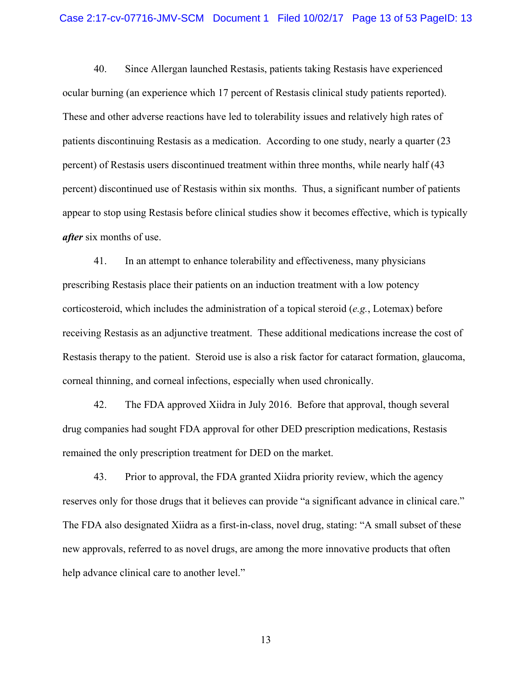40. Since Allergan launched Restasis, patients taking Restasis have experienced ocular burning (an experience which 17 percent of Restasis clinical study patients reported). These and other adverse reactions have led to tolerability issues and relatively high rates of patients discontinuing Restasis as a medication. According to one study, nearly a quarter (23 percent) of Restasis users discontinued treatment within three months, while nearly half (43 percent) discontinued use of Restasis within six months. Thus, a significant number of patients appear to stop using Restasis before clinical studies show it becomes effective, which is typically *after* six months of use.

41. In an attempt to enhance tolerability and effectiveness, many physicians prescribing Restasis place their patients on an induction treatment with a low potency corticosteroid, which includes the administration of a topical steroid (*e.g.*, Lotemax) before receiving Restasis as an adjunctive treatment. These additional medications increase the cost of Restasis therapy to the patient. Steroid use is also a risk factor for cataract formation, glaucoma, corneal thinning, and corneal infections, especially when used chronically.

42. The FDA approved Xiidra in July 2016. Before that approval, though several drug companies had sought FDA approval for other DED prescription medications, Restasis remained the only prescription treatment for DED on the market.

43. Prior to approval, the FDA granted Xiidra priority review, which the agency reserves only for those drugs that it believes can provide "a significant advance in clinical care." The FDA also designated Xiidra as a first-in-class, novel drug, stating: "A small subset of these new approvals, referred to as novel drugs, are among the more innovative products that often help advance clinical care to another level."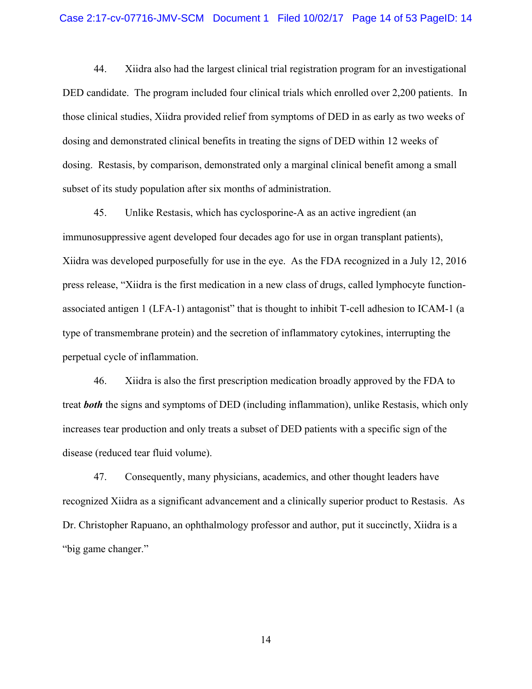#### Case 2:17-cv-07716-JMV-SCM Document 1 Filed 10/02/17 Page 14 of 53 PageID: 14

44. Xiidra also had the largest clinical trial registration program for an investigational DED candidate. The program included four clinical trials which enrolled over 2,200 patients. In those clinical studies, Xiidra provided relief from symptoms of DED in as early as two weeks of dosing and demonstrated clinical benefits in treating the signs of DED within 12 weeks of dosing. Restasis, by comparison, demonstrated only a marginal clinical benefit among a small subset of its study population after six months of administration.

45. Unlike Restasis, which has cyclosporine-A as an active ingredient (an immunosuppressive agent developed four decades ago for use in organ transplant patients), Xiidra was developed purposefully for use in the eye. As the FDA recognized in a July 12, 2016 press release, "Xiidra is the first medication in a new class of drugs, called lymphocyte functionassociated antigen 1 (LFA-1) antagonist" that is thought to inhibit T-cell adhesion to ICAM-1 (a type of transmembrane protein) and the secretion of inflammatory cytokines, interrupting the perpetual cycle of inflammation.

46. Xiidra is also the first prescription medication broadly approved by the FDA to treat *both* the signs and symptoms of DED (including inflammation), unlike Restasis, which only increases tear production and only treats a subset of DED patients with a specific sign of the disease (reduced tear fluid volume).

47. Consequently, many physicians, academics, and other thought leaders have recognized Xiidra as a significant advancement and a clinically superior product to Restasis. As Dr. Christopher Rapuano, an ophthalmology professor and author, put it succinctly, Xiidra is a "big game changer."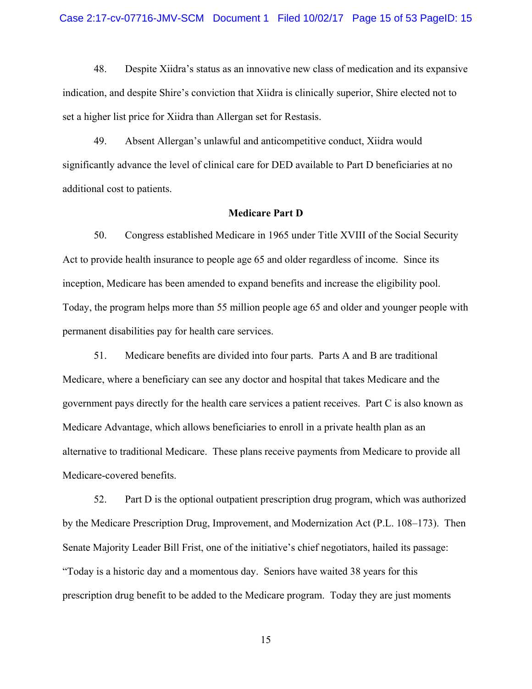48. Despite Xiidra's status as an innovative new class of medication and its expansive indication, and despite Shire's conviction that Xiidra is clinically superior, Shire elected not to set a higher list price for Xiidra than Allergan set for Restasis.

49. Absent Allergan's unlawful and anticompetitive conduct, Xiidra would significantly advance the level of clinical care for DED available to Part D beneficiaries at no additional cost to patients.

### **Medicare Part D**

50. Congress established Medicare in 1965 under Title XVIII of the Social Security Act to provide health insurance to people age 65 and older regardless of income. Since its inception, Medicare has been amended to expand benefits and increase the eligibility pool. Today, the program helps more than 55 million people age 65 and older and younger people with permanent disabilities pay for health care services.

51. Medicare benefits are divided into four parts. Parts A and B are traditional Medicare, where a beneficiary can see any doctor and hospital that takes Medicare and the government pays directly for the health care services a patient receives. Part C is also known as Medicare Advantage, which allows beneficiaries to enroll in a private health plan as an alternative to traditional Medicare. These plans receive payments from Medicare to provide all Medicare-covered benefits.

52. Part D is the optional outpatient prescription drug program, which was authorized by the Medicare Prescription Drug, Improvement, and Modernization Act (P.L. 108–173). Then Senate Majority Leader Bill Frist, one of the initiative's chief negotiators, hailed its passage: "Today is a historic day and a momentous day. Seniors have waited 38 years for this prescription drug benefit to be added to the Medicare program. Today they are just moments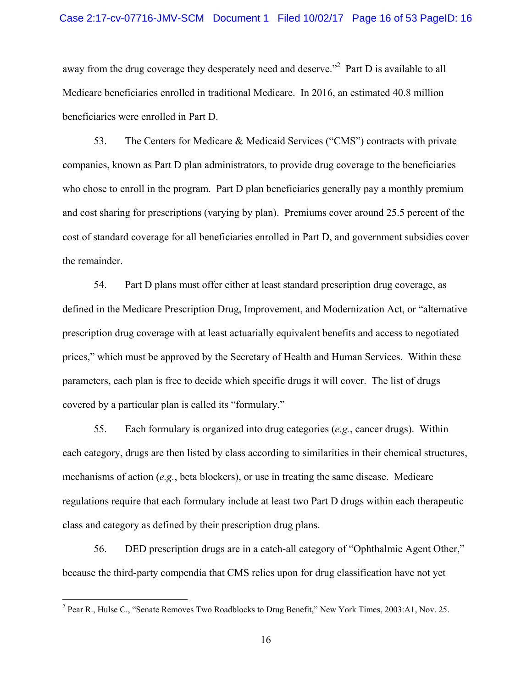away from the drug coverage they desperately need and deserve."<sup>2</sup> Part D is available to all Medicare beneficiaries enrolled in traditional Medicare. In 2016, an estimated 40.8 million beneficiaries were enrolled in Part D.

53. The Centers for Medicare & Medicaid Services ("CMS") contracts with private companies, known as Part D plan administrators, to provide drug coverage to the beneficiaries who chose to enroll in the program. Part D plan beneficiaries generally pay a monthly premium and cost sharing for prescriptions (varying by plan). Premiums cover around 25.5 percent of the cost of standard coverage for all beneficiaries enrolled in Part D, and government subsidies cover the remainder.

54. Part D plans must offer either at least standard prescription drug coverage, as defined in the Medicare Prescription Drug, Improvement, and Modernization Act, or "alternative prescription drug coverage with at least actuarially equivalent benefits and access to negotiated prices," which must be approved by the Secretary of Health and Human Services. Within these parameters, each plan is free to decide which specific drugs it will cover. The list of drugs covered by a particular plan is called its "formulary."

55. Each formulary is organized into drug categories (*e.g.*, cancer drugs). Within each category, drugs are then listed by class according to similarities in their chemical structures, mechanisms of action (*e.g.*, beta blockers), or use in treating the same disease. Medicare regulations require that each formulary include at least two Part D drugs within each therapeutic class and category as defined by their prescription drug plans.

56. DED prescription drugs are in a catch-all category of "Ophthalmic Agent Other," because the third-party compendia that CMS relies upon for drug classification have not yet

<sup>&</sup>lt;sup>2</sup> Pear R., Hulse C., "Senate Removes Two Roadblocks to Drug Benefit," New York Times, 2003:A1, Nov. 25.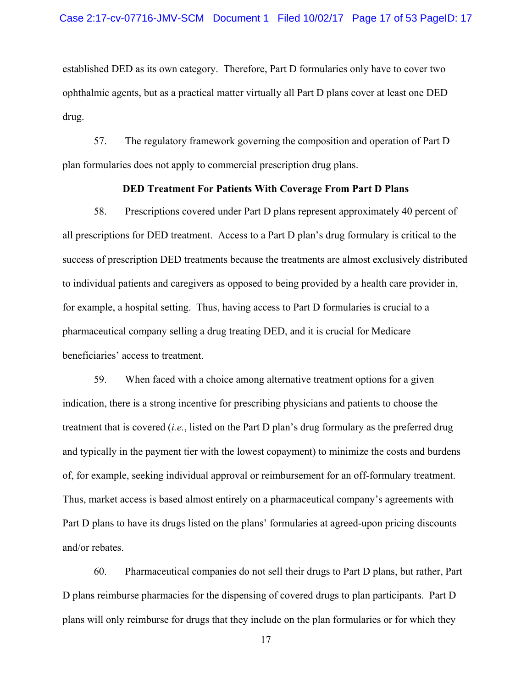established DED as its own category. Therefore, Part D formularies only have to cover two ophthalmic agents, but as a practical matter virtually all Part D plans cover at least one DED drug.

57. The regulatory framework governing the composition and operation of Part D plan formularies does not apply to commercial prescription drug plans.

## **DED Treatment For Patients With Coverage From Part D Plans**

58. Prescriptions covered under Part D plans represent approximately 40 percent of all prescriptions for DED treatment. Access to a Part D plan's drug formulary is critical to the success of prescription DED treatments because the treatments are almost exclusively distributed to individual patients and caregivers as opposed to being provided by a health care provider in, for example, a hospital setting. Thus, having access to Part D formularies is crucial to a pharmaceutical company selling a drug treating DED, and it is crucial for Medicare beneficiaries' access to treatment.

59. When faced with a choice among alternative treatment options for a given indication, there is a strong incentive for prescribing physicians and patients to choose the treatment that is covered (*i.e.*, listed on the Part D plan's drug formulary as the preferred drug and typically in the payment tier with the lowest copayment) to minimize the costs and burdens of, for example, seeking individual approval or reimbursement for an off-formulary treatment. Thus, market access is based almost entirely on a pharmaceutical company's agreements with Part D plans to have its drugs listed on the plans' formularies at agreed-upon pricing discounts and/or rebates.

60. Pharmaceutical companies do not sell their drugs to Part D plans, but rather, Part D plans reimburse pharmacies for the dispensing of covered drugs to plan participants. Part D plans will only reimburse for drugs that they include on the plan formularies or for which they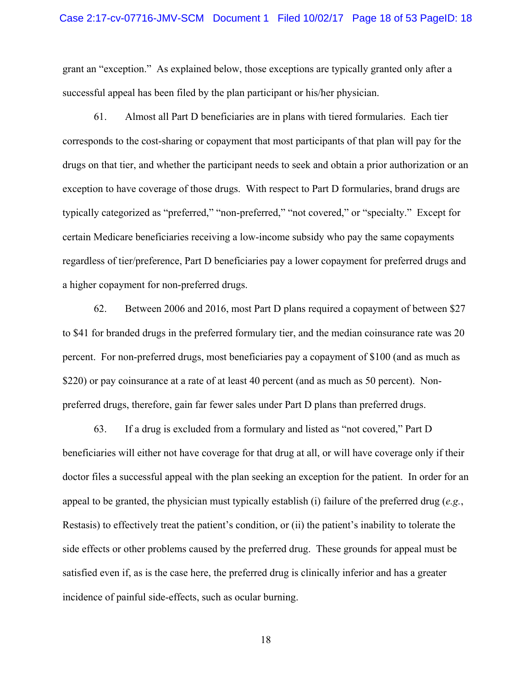grant an "exception." As explained below, those exceptions are typically granted only after a successful appeal has been filed by the plan participant or his/her physician.

61. Almost all Part D beneficiaries are in plans with tiered formularies. Each tier corresponds to the cost-sharing or copayment that most participants of that plan will pay for the drugs on that tier, and whether the participant needs to seek and obtain a prior authorization or an exception to have coverage of those drugs. With respect to Part D formularies, brand drugs are typically categorized as "preferred," "non-preferred," "not covered," or "specialty." Except for certain Medicare beneficiaries receiving a low-income subsidy who pay the same copayments regardless of tier/preference, Part D beneficiaries pay a lower copayment for preferred drugs and a higher copayment for non-preferred drugs.

62. Between 2006 and 2016, most Part D plans required a copayment of between \$27 to \$41 for branded drugs in the preferred formulary tier, and the median coinsurance rate was 20 percent. For non-preferred drugs, most beneficiaries pay a copayment of \$100 (and as much as \$220) or pay coinsurance at a rate of at least 40 percent (and as much as 50 percent). Nonpreferred drugs, therefore, gain far fewer sales under Part D plans than preferred drugs.

63. If a drug is excluded from a formulary and listed as "not covered," Part D beneficiaries will either not have coverage for that drug at all, or will have coverage only if their doctor files a successful appeal with the plan seeking an exception for the patient. In order for an appeal to be granted, the physician must typically establish (i) failure of the preferred drug (*e.g.*, Restasis) to effectively treat the patient's condition, or (ii) the patient's inability to tolerate the side effects or other problems caused by the preferred drug. These grounds for appeal must be satisfied even if, as is the case here, the preferred drug is clinically inferior and has a greater incidence of painful side-effects, such as ocular burning.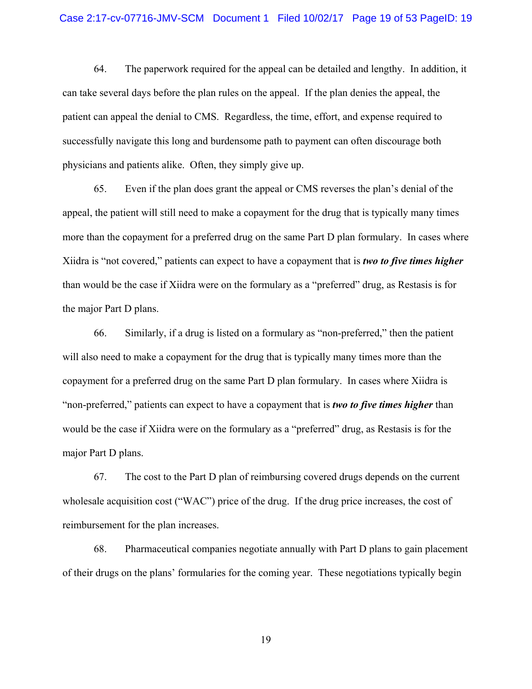64. The paperwork required for the appeal can be detailed and lengthy. In addition, it can take several days before the plan rules on the appeal. If the plan denies the appeal, the patient can appeal the denial to CMS. Regardless, the time, effort, and expense required to successfully navigate this long and burdensome path to payment can often discourage both physicians and patients alike. Often, they simply give up.

65. Even if the plan does grant the appeal or CMS reverses the plan's denial of the appeal, the patient will still need to make a copayment for the drug that is typically many times more than the copayment for a preferred drug on the same Part D plan formulary. In cases where Xiidra is "not covered," patients can expect to have a copayment that is *two to five times higher* than would be the case if Xiidra were on the formulary as a "preferred" drug, as Restasis is for the major Part D plans.

66. Similarly, if a drug is listed on a formulary as "non-preferred," then the patient will also need to make a copayment for the drug that is typically many times more than the copayment for a preferred drug on the same Part D plan formulary. In cases where Xiidra is "non-preferred," patients can expect to have a copayment that is *two to five times higher* than would be the case if Xiidra were on the formulary as a "preferred" drug, as Restasis is for the major Part D plans.

67. The cost to the Part D plan of reimbursing covered drugs depends on the current wholesale acquisition cost ("WAC") price of the drug. If the drug price increases, the cost of reimbursement for the plan increases.

68. Pharmaceutical companies negotiate annually with Part D plans to gain placement of their drugs on the plans' formularies for the coming year. These negotiations typically begin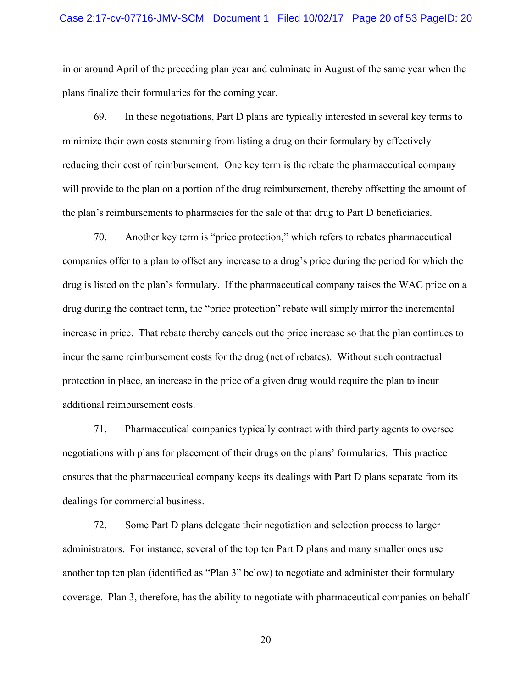#### Case 2:17-cv-07716-JMV-SCM Document 1 Filed 10/02/17 Page 20 of 53 PageID: 20

in or around April of the preceding plan year and culminate in August of the same year when the plans finalize their formularies for the coming year.

69. In these negotiations, Part D plans are typically interested in several key terms to minimize their own costs stemming from listing a drug on their formulary by effectively reducing their cost of reimbursement. One key term is the rebate the pharmaceutical company will provide to the plan on a portion of the drug reimbursement, thereby offsetting the amount of the plan's reimbursements to pharmacies for the sale of that drug to Part D beneficiaries.

70. Another key term is "price protection," which refers to rebates pharmaceutical companies offer to a plan to offset any increase to a drug's price during the period for which the drug is listed on the plan's formulary. If the pharmaceutical company raises the WAC price on a drug during the contract term, the "price protection" rebate will simply mirror the incremental increase in price. That rebate thereby cancels out the price increase so that the plan continues to incur the same reimbursement costs for the drug (net of rebates). Without such contractual protection in place, an increase in the price of a given drug would require the plan to incur additional reimbursement costs.

71. Pharmaceutical companies typically contract with third party agents to oversee negotiations with plans for placement of their drugs on the plans' formularies. This practice ensures that the pharmaceutical company keeps its dealings with Part D plans separate from its dealings for commercial business.

72. Some Part D plans delegate their negotiation and selection process to larger administrators. For instance, several of the top ten Part D plans and many smaller ones use another top ten plan (identified as "Plan 3" below) to negotiate and administer their formulary coverage. Plan 3, therefore, has the ability to negotiate with pharmaceutical companies on behalf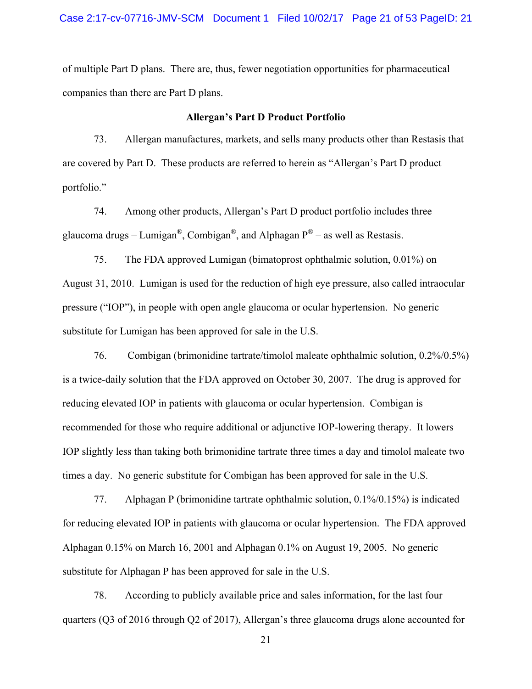of multiple Part D plans. There are, thus, fewer negotiation opportunities for pharmaceutical companies than there are Part D plans.

### **Allergan's Part D Product Portfolio**

73. Allergan manufactures, markets, and sells many products other than Restasis that are covered by Part D. These products are referred to herein as "Allergan's Part D product portfolio."

74. Among other products, Allergan's Part D product portfolio includes three glaucoma drugs – Lumigan<sup>®</sup>, Combigan<sup>®</sup>, and Alphagan  $P^®$  – as well as Restasis.

75. The FDA approved Lumigan (bimatoprost ophthalmic solution, 0.01%) on August 31, 2010. Lumigan is used for the reduction of high eye pressure, also called intraocular pressure ("IOP"), in people with open angle glaucoma or ocular hypertension. No generic substitute for Lumigan has been approved for sale in the U.S.

76. Combigan (brimonidine tartrate/timolol maleate ophthalmic solution, 0.2%/0.5%) is a twice-daily solution that the FDA approved on October 30, 2007. The drug is approved for reducing elevated IOP in patients with glaucoma or ocular hypertension. Combigan is recommended for those who require additional or adjunctive IOP-lowering therapy. It lowers IOP slightly less than taking both brimonidine tartrate three times a day and timolol maleate two times a day. No generic substitute for Combigan has been approved for sale in the U.S.

77. Alphagan P (brimonidine tartrate ophthalmic solution, 0.1%/0.15%) is indicated for reducing elevated IOP in patients with glaucoma or ocular hypertension. The FDA approved Alphagan 0.15% on March 16, 2001 and Alphagan 0.1% on August 19, 2005. No generic substitute for Alphagan P has been approved for sale in the U.S.

78. According to publicly available price and sales information, for the last four quarters (Q3 of 2016 through Q2 of 2017), Allergan's three glaucoma drugs alone accounted for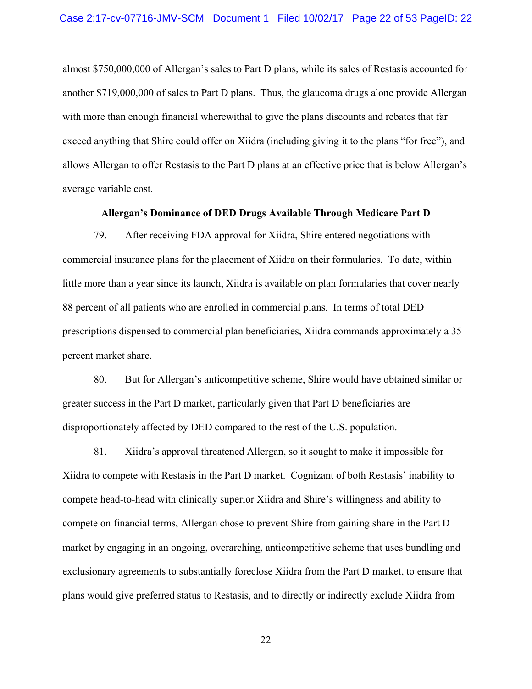almost \$750,000,000 of Allergan's sales to Part D plans, while its sales of Restasis accounted for another \$719,000,000 of sales to Part D plans. Thus, the glaucoma drugs alone provide Allergan with more than enough financial wherewithal to give the plans discounts and rebates that far exceed anything that Shire could offer on Xiidra (including giving it to the plans "for free"), and allows Allergan to offer Restasis to the Part D plans at an effective price that is below Allergan's average variable cost.

### **Allergan's Dominance of DED Drugs Available Through Medicare Part D**

79. After receiving FDA approval for Xiidra, Shire entered negotiations with commercial insurance plans for the placement of Xiidra on their formularies. To date, within little more than a year since its launch, Xiidra is available on plan formularies that cover nearly 88 percent of all patients who are enrolled in commercial plans. In terms of total DED prescriptions dispensed to commercial plan beneficiaries, Xiidra commands approximately a 35 percent market share.

80. But for Allergan's anticompetitive scheme, Shire would have obtained similar or greater success in the Part D market, particularly given that Part D beneficiaries are disproportionately affected by DED compared to the rest of the U.S. population.

81. Xiidra's approval threatened Allergan, so it sought to make it impossible for Xiidra to compete with Restasis in the Part D market. Cognizant of both Restasis' inability to compete head-to-head with clinically superior Xiidra and Shire's willingness and ability to compete on financial terms, Allergan chose to prevent Shire from gaining share in the Part D market by engaging in an ongoing, overarching, anticompetitive scheme that uses bundling and exclusionary agreements to substantially foreclose Xiidra from the Part D market, to ensure that plans would give preferred status to Restasis, and to directly or indirectly exclude Xiidra from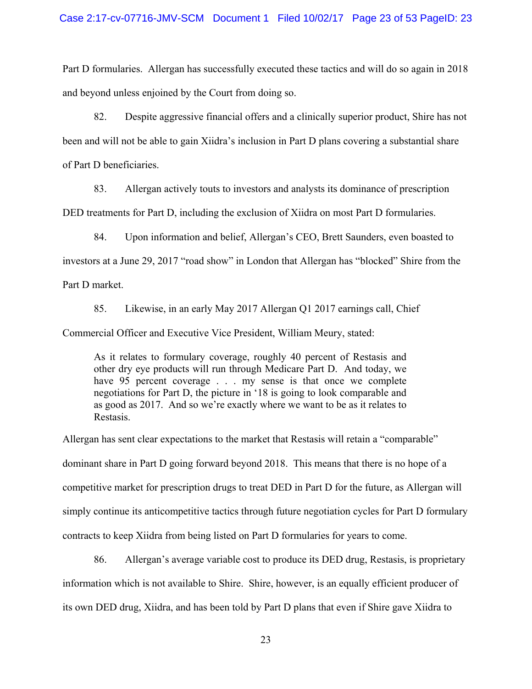Part D formularies. Allergan has successfully executed these tactics and will do so again in 2018 and beyond unless enjoined by the Court from doing so.

82. Despite aggressive financial offers and a clinically superior product, Shire has not been and will not be able to gain Xiidra's inclusion in Part D plans covering a substantial share of Part D beneficiaries.

83. Allergan actively touts to investors and analysts its dominance of prescription

DED treatments for Part D, including the exclusion of Xiidra on most Part D formularies.

84. Upon information and belief, Allergan's CEO, Brett Saunders, even boasted to investors at a June 29, 2017 "road show" in London that Allergan has "blocked" Shire from the Part D market.

85. Likewise, in an early May 2017 Allergan Q1 2017 earnings call, Chief

Commercial Officer and Executive Vice President, William Meury, stated:

As it relates to formulary coverage, roughly 40 percent of Restasis and other dry eye products will run through Medicare Part D. And today, we have 95 percent coverage . . . my sense is that once we complete negotiations for Part D, the picture in '18 is going to look comparable and as good as 2017. And so we're exactly where we want to be as it relates to Restasis.

Allergan has sent clear expectations to the market that Restasis will retain a "comparable" dominant share in Part D going forward beyond 2018. This means that there is no hope of a competitive market for prescription drugs to treat DED in Part D for the future, as Allergan will simply continue its anticompetitive tactics through future negotiation cycles for Part D formulary contracts to keep Xiidra from being listed on Part D formularies for years to come.

86. Allergan's average variable cost to produce its DED drug, Restasis, is proprietary information which is not available to Shire. Shire, however, is an equally efficient producer of its own DED drug, Xiidra, and has been told by Part D plans that even if Shire gave Xiidra to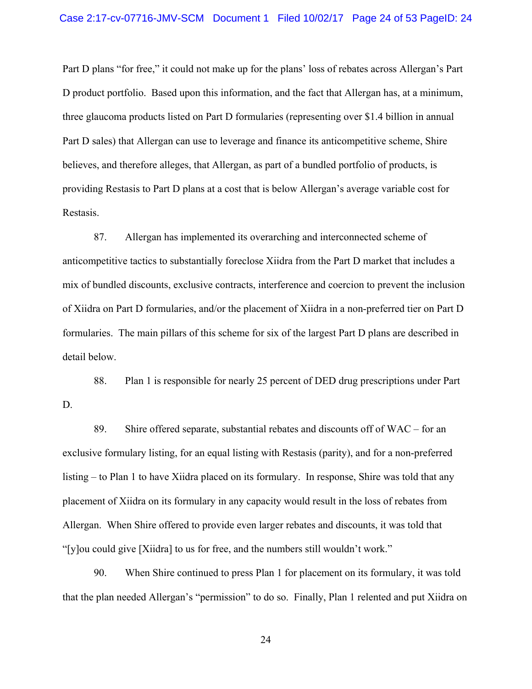Part D plans "for free," it could not make up for the plans' loss of rebates across Allergan's Part D product portfolio. Based upon this information, and the fact that Allergan has, at a minimum, three glaucoma products listed on Part D formularies (representing over \$1.4 billion in annual Part D sales) that Allergan can use to leverage and finance its anticompetitive scheme, Shire believes, and therefore alleges, that Allergan, as part of a bundled portfolio of products, is providing Restasis to Part D plans at a cost that is below Allergan's average variable cost for Restasis.

87. Allergan has implemented its overarching and interconnected scheme of anticompetitive tactics to substantially foreclose Xiidra from the Part D market that includes a mix of bundled discounts, exclusive contracts, interference and coercion to prevent the inclusion of Xiidra on Part D formularies, and/or the placement of Xiidra in a non-preferred tier on Part D formularies. The main pillars of this scheme for six of the largest Part D plans are described in detail below.

88. Plan 1 is responsible for nearly 25 percent of DED drug prescriptions under Part D.

89. Shire offered separate, substantial rebates and discounts off of WAC – for an exclusive formulary listing, for an equal listing with Restasis (parity), and for a non-preferred listing – to Plan 1 to have Xiidra placed on its formulary. In response, Shire was told that any placement of Xiidra on its formulary in any capacity would result in the loss of rebates from Allergan. When Shire offered to provide even larger rebates and discounts, it was told that "[y]ou could give [Xiidra] to us for free, and the numbers still wouldn't work."

90. When Shire continued to press Plan 1 for placement on its formulary, it was told that the plan needed Allergan's "permission" to do so. Finally, Plan 1 relented and put Xiidra on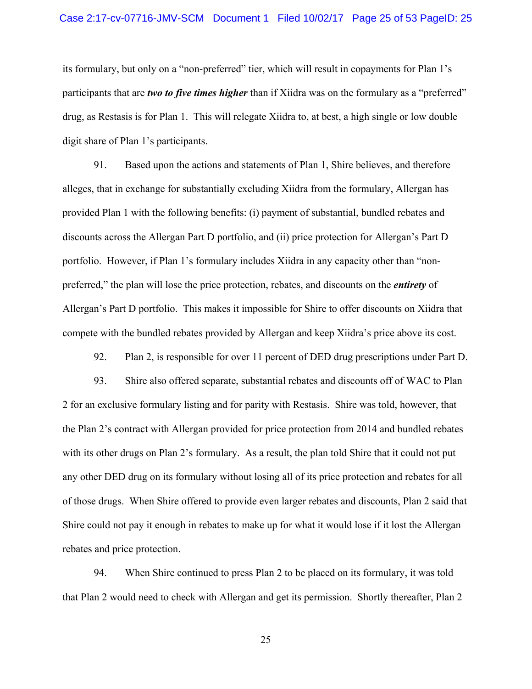### Case 2:17-cv-07716-JMV-SCM Document 1 Filed 10/02/17 Page 25 of 53 PageID: 25

its formulary, but only on a "non-preferred" tier, which will result in copayments for Plan 1's participants that are *two to five times higher* than if Xiidra was on the formulary as a "preferred" drug, as Restasis is for Plan 1. This will relegate Xiidra to, at best, a high single or low double digit share of Plan 1's participants.

91. Based upon the actions and statements of Plan 1, Shire believes, and therefore alleges, that in exchange for substantially excluding Xiidra from the formulary, Allergan has provided Plan 1 with the following benefits: (i) payment of substantial, bundled rebates and discounts across the Allergan Part D portfolio, and (ii) price protection for Allergan's Part D portfolio. However, if Plan 1's formulary includes Xiidra in any capacity other than "nonpreferred," the plan will lose the price protection, rebates, and discounts on the *entirety* of Allergan's Part D portfolio. This makes it impossible for Shire to offer discounts on Xiidra that compete with the bundled rebates provided by Allergan and keep Xiidra's price above its cost.

92. Plan 2, is responsible for over 11 percent of DED drug prescriptions under Part D.

93. Shire also offered separate, substantial rebates and discounts off of WAC to Plan 2 for an exclusive formulary listing and for parity with Restasis. Shire was told, however, that the Plan 2's contract with Allergan provided for price protection from 2014 and bundled rebates with its other drugs on Plan 2's formulary. As a result, the plan told Shire that it could not put any other DED drug on its formulary without losing all of its price protection and rebates for all of those drugs. When Shire offered to provide even larger rebates and discounts, Plan 2 said that Shire could not pay it enough in rebates to make up for what it would lose if it lost the Allergan rebates and price protection.

94. When Shire continued to press Plan 2 to be placed on its formulary, it was told that Plan 2 would need to check with Allergan and get its permission. Shortly thereafter, Plan 2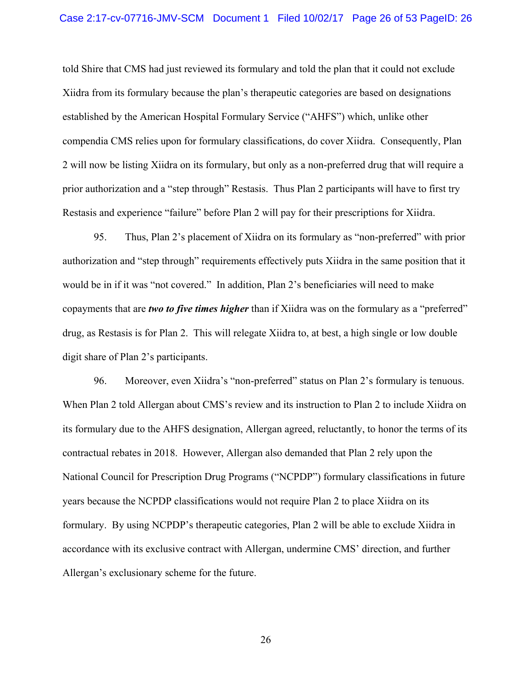told Shire that CMS had just reviewed its formulary and told the plan that it could not exclude Xiidra from its formulary because the plan's therapeutic categories are based on designations established by the American Hospital Formulary Service ("AHFS") which, unlike other compendia CMS relies upon for formulary classifications, do cover Xiidra. Consequently, Plan 2 will now be listing Xiidra on its formulary, but only as a non-preferred drug that will require a prior authorization and a "step through" Restasis. Thus Plan 2 participants will have to first try Restasis and experience "failure" before Plan 2 will pay for their prescriptions for Xiidra.

95. Thus, Plan 2's placement of Xiidra on its formulary as "non-preferred" with prior authorization and "step through" requirements effectively puts Xiidra in the same position that it would be in if it was "not covered." In addition, Plan 2's beneficiaries will need to make copayments that are *two to five times higher* than if Xiidra was on the formulary as a "preferred" drug, as Restasis is for Plan 2. This will relegate Xiidra to, at best, a high single or low double digit share of Plan 2's participants.

96. Moreover, even Xiidra's "non-preferred" status on Plan 2's formulary is tenuous. When Plan 2 told Allergan about CMS's review and its instruction to Plan 2 to include Xiidra on its formulary due to the AHFS designation, Allergan agreed, reluctantly, to honor the terms of its contractual rebates in 2018. However, Allergan also demanded that Plan 2 rely upon the National Council for Prescription Drug Programs ("NCPDP") formulary classifications in future years because the NCPDP classifications would not require Plan 2 to place Xiidra on its formulary. By using NCPDP's therapeutic categories, Plan 2 will be able to exclude Xiidra in accordance with its exclusive contract with Allergan, undermine CMS' direction, and further Allergan's exclusionary scheme for the future.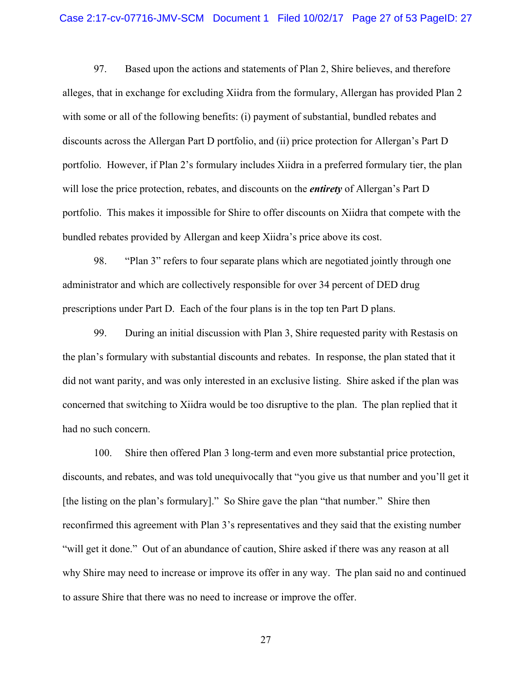#### Case 2:17-cv-07716-JMV-SCM Document 1 Filed 10/02/17 Page 27 of 53 PageID: 27

97. Based upon the actions and statements of Plan 2, Shire believes, and therefore alleges, that in exchange for excluding Xiidra from the formulary, Allergan has provided Plan 2 with some or all of the following benefits: (i) payment of substantial, bundled rebates and discounts across the Allergan Part D portfolio, and (ii) price protection for Allergan's Part D portfolio. However, if Plan 2's formulary includes Xiidra in a preferred formulary tier, the plan will lose the price protection, rebates, and discounts on the *entirety* of Allergan's Part D portfolio. This makes it impossible for Shire to offer discounts on Xiidra that compete with the bundled rebates provided by Allergan and keep Xiidra's price above its cost.

98. "Plan 3" refers to four separate plans which are negotiated jointly through one administrator and which are collectively responsible for over 34 percent of DED drug prescriptions under Part D. Each of the four plans is in the top ten Part D plans.

99. During an initial discussion with Plan 3, Shire requested parity with Restasis on the plan's formulary with substantial discounts and rebates. In response, the plan stated that it did not want parity, and was only interested in an exclusive listing. Shire asked if the plan was concerned that switching to Xiidra would be too disruptive to the plan. The plan replied that it had no such concern.

100. Shire then offered Plan 3 long-term and even more substantial price protection, discounts, and rebates, and was told unequivocally that "you give us that number and you'll get it [the listing on the plan's formulary]." So Shire gave the plan "that number." Shire then reconfirmed this agreement with Plan 3's representatives and they said that the existing number "will get it done." Out of an abundance of caution, Shire asked if there was any reason at all why Shire may need to increase or improve its offer in any way. The plan said no and continued to assure Shire that there was no need to increase or improve the offer.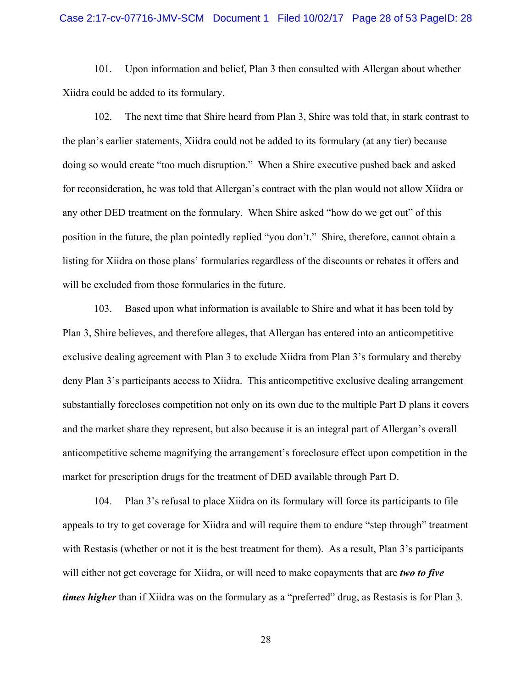### Case 2:17-cv-07716-JMV-SCM Document 1 Filed 10/02/17 Page 28 of 53 PageID: 28

101. Upon information and belief, Plan 3 then consulted with Allergan about whether Xiidra could be added to its formulary.

102. The next time that Shire heard from Plan 3, Shire was told that, in stark contrast to the plan's earlier statements, Xiidra could not be added to its formulary (at any tier) because doing so would create "too much disruption." When a Shire executive pushed back and asked for reconsideration, he was told that Allergan's contract with the plan would not allow Xiidra or any other DED treatment on the formulary. When Shire asked "how do we get out" of this position in the future, the plan pointedly replied "you don't." Shire, therefore, cannot obtain a listing for Xiidra on those plans' formularies regardless of the discounts or rebates it offers and will be excluded from those formularies in the future.

103. Based upon what information is available to Shire and what it has been told by Plan 3, Shire believes, and therefore alleges, that Allergan has entered into an anticompetitive exclusive dealing agreement with Plan 3 to exclude Xiidra from Plan 3's formulary and thereby deny Plan 3's participants access to Xiidra. This anticompetitive exclusive dealing arrangement substantially forecloses competition not only on its own due to the multiple Part D plans it covers and the market share they represent, but also because it is an integral part of Allergan's overall anticompetitive scheme magnifying the arrangement's foreclosure effect upon competition in the market for prescription drugs for the treatment of DED available through Part D.

104. Plan 3's refusal to place Xiidra on its formulary will force its participants to file appeals to try to get coverage for Xiidra and will require them to endure "step through" treatment with Restasis (whether or not it is the best treatment for them). As a result, Plan 3's participants will either not get coverage for Xiidra, or will need to make copayments that are *two to five times higher* than if Xiidra was on the formulary as a "preferred" drug, as Restasis is for Plan 3.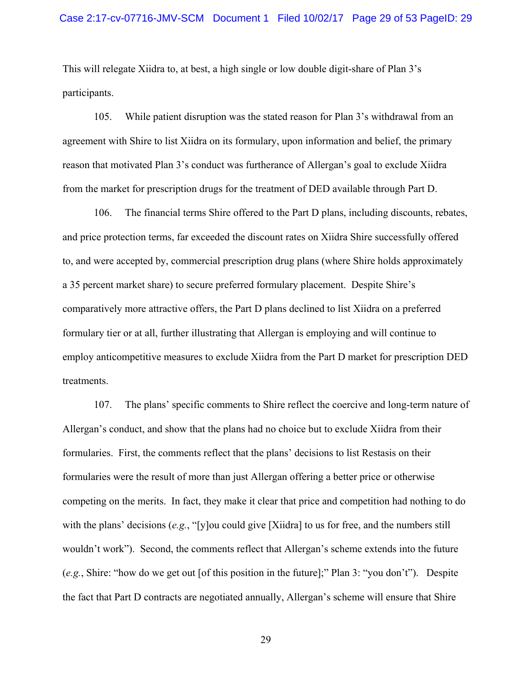This will relegate Xiidra to, at best, a high single or low double digit-share of Plan 3's participants.

105. While patient disruption was the stated reason for Plan 3's withdrawal from an agreement with Shire to list Xiidra on its formulary, upon information and belief, the primary reason that motivated Plan 3's conduct was furtherance of Allergan's goal to exclude Xiidra from the market for prescription drugs for the treatment of DED available through Part D.

106. The financial terms Shire offered to the Part D plans, including discounts, rebates, and price protection terms, far exceeded the discount rates on Xiidra Shire successfully offered to, and were accepted by, commercial prescription drug plans (where Shire holds approximately a 35 percent market share) to secure preferred formulary placement. Despite Shire's comparatively more attractive offers, the Part D plans declined to list Xiidra on a preferred formulary tier or at all, further illustrating that Allergan is employing and will continue to employ anticompetitive measures to exclude Xiidra from the Part D market for prescription DED treatments.

107. The plans' specific comments to Shire reflect the coercive and long-term nature of Allergan's conduct, and show that the plans had no choice but to exclude Xiidra from their formularies. First, the comments reflect that the plans' decisions to list Restasis on their formularies were the result of more than just Allergan offering a better price or otherwise competing on the merits. In fact, they make it clear that price and competition had nothing to do with the plans' decisions (*e.g.*, "[y]ou could give [Xiidra] to us for free, and the numbers still wouldn't work"). Second, the comments reflect that Allergan's scheme extends into the future (*e.g.*, Shire: "how do we get out [of this position in the future];" Plan 3: "you don't"). Despite the fact that Part D contracts are negotiated annually, Allergan's scheme will ensure that Shire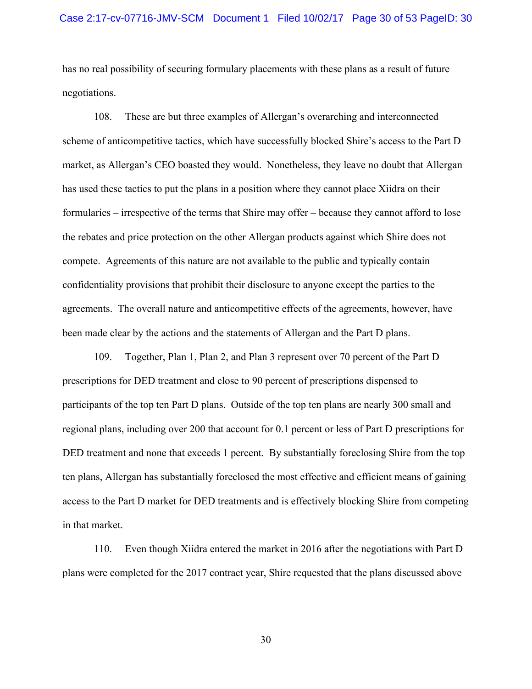has no real possibility of securing formulary placements with these plans as a result of future negotiations.

108. These are but three examples of Allergan's overarching and interconnected scheme of anticompetitive tactics, which have successfully blocked Shire's access to the Part D market, as Allergan's CEO boasted they would. Nonetheless, they leave no doubt that Allergan has used these tactics to put the plans in a position where they cannot place Xiidra on their formularies – irrespective of the terms that Shire may offer – because they cannot afford to lose the rebates and price protection on the other Allergan products against which Shire does not compete. Agreements of this nature are not available to the public and typically contain confidentiality provisions that prohibit their disclosure to anyone except the parties to the agreements. The overall nature and anticompetitive effects of the agreements, however, have been made clear by the actions and the statements of Allergan and the Part D plans.

109. Together, Plan 1, Plan 2, and Plan 3 represent over 70 percent of the Part D prescriptions for DED treatment and close to 90 percent of prescriptions dispensed to participants of the top ten Part D plans. Outside of the top ten plans are nearly 300 small and regional plans, including over 200 that account for 0.1 percent or less of Part D prescriptions for DED treatment and none that exceeds 1 percent. By substantially foreclosing Shire from the top ten plans, Allergan has substantially foreclosed the most effective and efficient means of gaining access to the Part D market for DED treatments and is effectively blocking Shire from competing in that market.

110. Even though Xiidra entered the market in 2016 after the negotiations with Part D plans were completed for the 2017 contract year, Shire requested that the plans discussed above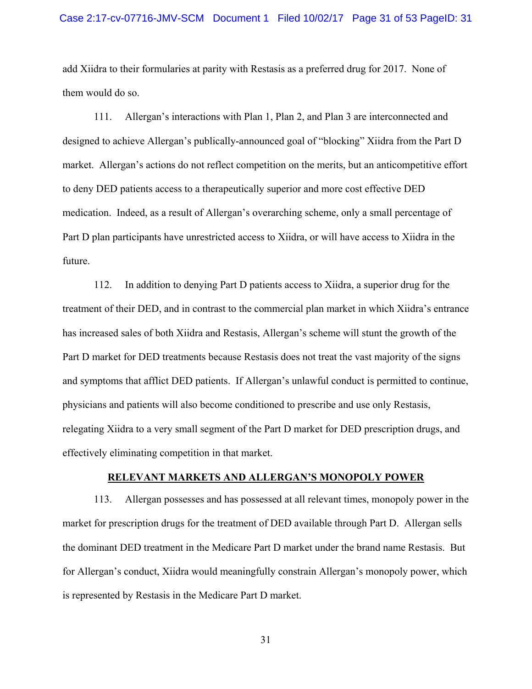#### Case 2:17-cv-07716-JMV-SCM Document 1 Filed 10/02/17 Page 31 of 53 PageID: 31

add Xiidra to their formularies at parity with Restasis as a preferred drug for 2017. None of them would do so.

111. Allergan's interactions with Plan 1, Plan 2, and Plan 3 are interconnected and designed to achieve Allergan's publically-announced goal of "blocking" Xiidra from the Part D market. Allergan's actions do not reflect competition on the merits, but an anticompetitive effort to deny DED patients access to a therapeutically superior and more cost effective DED medication. Indeed, as a result of Allergan's overarching scheme, only a small percentage of Part D plan participants have unrestricted access to Xiidra, or will have access to Xiidra in the future.

112. In addition to denying Part D patients access to Xiidra, a superior drug for the treatment of their DED, and in contrast to the commercial plan market in which Xiidra's entrance has increased sales of both Xiidra and Restasis, Allergan's scheme will stunt the growth of the Part D market for DED treatments because Restasis does not treat the vast majority of the signs and symptoms that afflict DED patients. If Allergan's unlawful conduct is permitted to continue, physicians and patients will also become conditioned to prescribe and use only Restasis, relegating Xiidra to a very small segment of the Part D market for DED prescription drugs, and effectively eliminating competition in that market.

### **RELEVANT MARKETS AND ALLERGAN'S MONOPOLY POWER**

113. Allergan possesses and has possessed at all relevant times, monopoly power in the market for prescription drugs for the treatment of DED available through Part D. Allergan sells the dominant DED treatment in the Medicare Part D market under the brand name Restasis. But for Allergan's conduct, Xiidra would meaningfully constrain Allergan's monopoly power, which is represented by Restasis in the Medicare Part D market.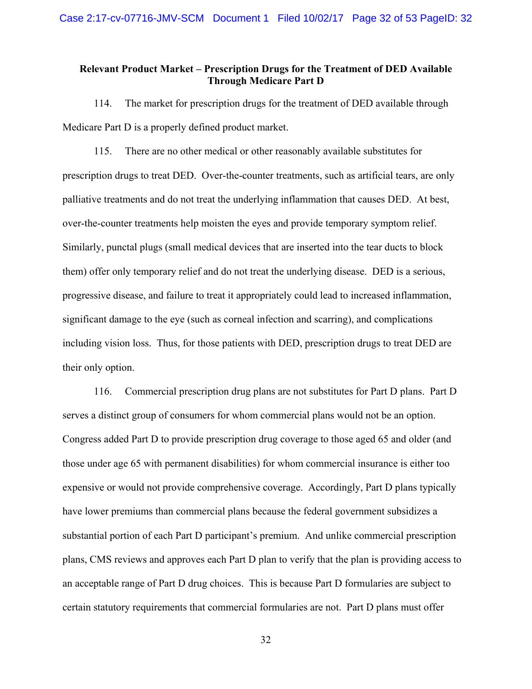## **Relevant Product Market – Prescription Drugs for the Treatment of DED Available Through Medicare Part D**

114. The market for prescription drugs for the treatment of DED available through Medicare Part D is a properly defined product market.

115. There are no other medical or other reasonably available substitutes for prescription drugs to treat DED. Over-the-counter treatments, such as artificial tears, are only palliative treatments and do not treat the underlying inflammation that causes DED. At best, over-the-counter treatments help moisten the eyes and provide temporary symptom relief. Similarly, punctal plugs (small medical devices that are inserted into the tear ducts to block them) offer only temporary relief and do not treat the underlying disease. DED is a serious, progressive disease, and failure to treat it appropriately could lead to increased inflammation, significant damage to the eye (such as corneal infection and scarring), and complications including vision loss. Thus, for those patients with DED, prescription drugs to treat DED are their only option.

116. Commercial prescription drug plans are not substitutes for Part D plans. Part D serves a distinct group of consumers for whom commercial plans would not be an option. Congress added Part D to provide prescription drug coverage to those aged 65 and older (and those under age 65 with permanent disabilities) for whom commercial insurance is either too expensive or would not provide comprehensive coverage. Accordingly, Part D plans typically have lower premiums than commercial plans because the federal government subsidizes a substantial portion of each Part D participant's premium. And unlike commercial prescription plans, CMS reviews and approves each Part D plan to verify that the plan is providing access to an acceptable range of Part D drug choices. This is because Part D formularies are subject to certain statutory requirements that commercial formularies are not. Part D plans must offer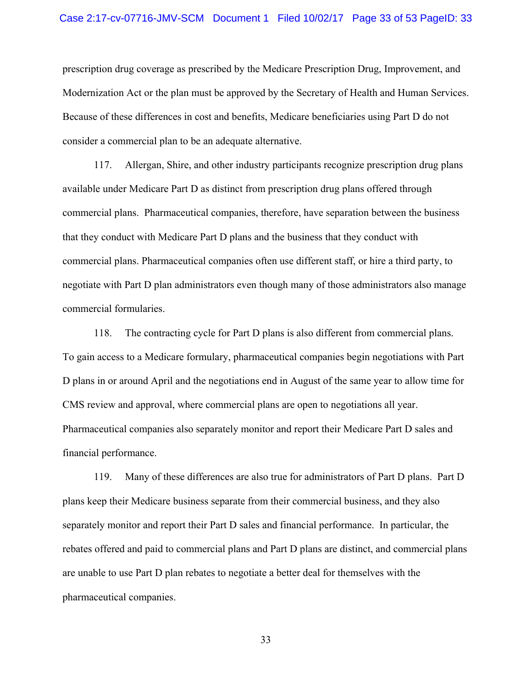prescription drug coverage as prescribed by the Medicare Prescription Drug, Improvement, and Modernization Act or the plan must be approved by the Secretary of Health and Human Services. Because of these differences in cost and benefits, Medicare beneficiaries using Part D do not consider a commercial plan to be an adequate alternative.

117. Allergan, Shire, and other industry participants recognize prescription drug plans available under Medicare Part D as distinct from prescription drug plans offered through commercial plans. Pharmaceutical companies, therefore, have separation between the business that they conduct with Medicare Part D plans and the business that they conduct with commercial plans. Pharmaceutical companies often use different staff, or hire a third party, to negotiate with Part D plan administrators even though many of those administrators also manage commercial formularies.

118. The contracting cycle for Part D plans is also different from commercial plans. To gain access to a Medicare formulary, pharmaceutical companies begin negotiations with Part D plans in or around April and the negotiations end in August of the same year to allow time for CMS review and approval, where commercial plans are open to negotiations all year. Pharmaceutical companies also separately monitor and report their Medicare Part D sales and financial performance.

119. Many of these differences are also true for administrators of Part D plans. Part D plans keep their Medicare business separate from their commercial business, and they also separately monitor and report their Part D sales and financial performance. In particular, the rebates offered and paid to commercial plans and Part D plans are distinct, and commercial plans are unable to use Part D plan rebates to negotiate a better deal for themselves with the pharmaceutical companies.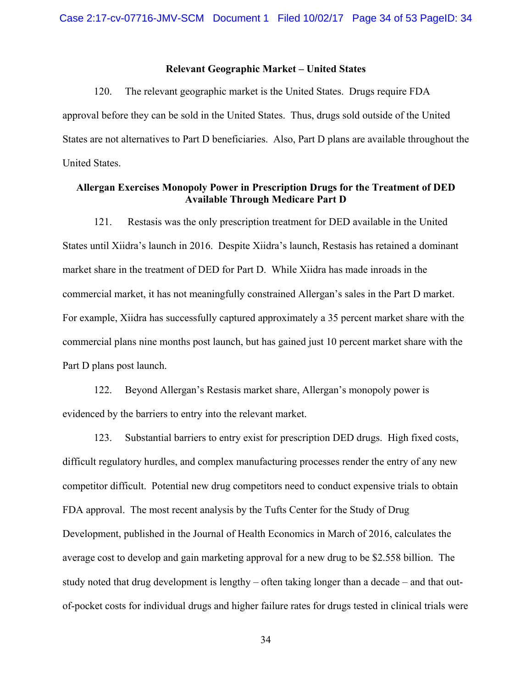### **Relevant Geographic Market – United States**

120. The relevant geographic market is the United States. Drugs require FDA approval before they can be sold in the United States. Thus, drugs sold outside of the United States are not alternatives to Part D beneficiaries. Also, Part D plans are available throughout the United States.

## **Allergan Exercises Monopoly Power in Prescription Drugs for the Treatment of DED Available Through Medicare Part D**

121. Restasis was the only prescription treatment for DED available in the United States until Xiidra's launch in 2016. Despite Xiidra's launch, Restasis has retained a dominant market share in the treatment of DED for Part D. While Xiidra has made inroads in the commercial market, it has not meaningfully constrained Allergan's sales in the Part D market. For example, Xiidra has successfully captured approximately a 35 percent market share with the commercial plans nine months post launch, but has gained just 10 percent market share with the Part D plans post launch.

122. Beyond Allergan's Restasis market share, Allergan's monopoly power is evidenced by the barriers to entry into the relevant market.

123. Substantial barriers to entry exist for prescription DED drugs. High fixed costs, difficult regulatory hurdles, and complex manufacturing processes render the entry of any new competitor difficult. Potential new drug competitors need to conduct expensive trials to obtain FDA approval. The most recent analysis by the Tufts Center for the Study of Drug Development, published in the Journal of Health Economics in March of 2016, calculates the average cost to develop and gain marketing approval for a new drug to be \$2.558 billion. The study noted that drug development is lengthy – often taking longer than a decade – and that outof-pocket costs for individual drugs and higher failure rates for drugs tested in clinical trials were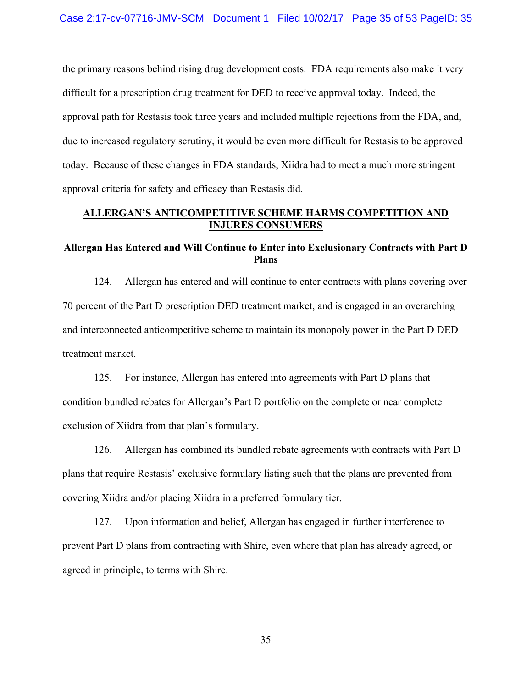the primary reasons behind rising drug development costs. FDA requirements also make it very difficult for a prescription drug treatment for DED to receive approval today. Indeed, the approval path for Restasis took three years and included multiple rejections from the FDA, and, due to increased regulatory scrutiny, it would be even more difficult for Restasis to be approved today. Because of these changes in FDA standards, Xiidra had to meet a much more stringent approval criteria for safety and efficacy than Restasis did.

## **ALLERGAN'S ANTICOMPETITIVE SCHEME HARMS COMPETITION AND INJURES CONSUMERS**

## **Allergan Has Entered and Will Continue to Enter into Exclusionary Contracts with Part D Plans**

124. Allergan has entered and will continue to enter contracts with plans covering over 70 percent of the Part D prescription DED treatment market, and is engaged in an overarching and interconnected anticompetitive scheme to maintain its monopoly power in the Part D DED treatment market.

125. For instance, Allergan has entered into agreements with Part D plans that condition bundled rebates for Allergan's Part D portfolio on the complete or near complete exclusion of Xiidra from that plan's formulary.

126. Allergan has combined its bundled rebate agreements with contracts with Part D plans that require Restasis' exclusive formulary listing such that the plans are prevented from covering Xiidra and/or placing Xiidra in a preferred formulary tier.

127. Upon information and belief, Allergan has engaged in further interference to prevent Part D plans from contracting with Shire, even where that plan has already agreed, or agreed in principle, to terms with Shire.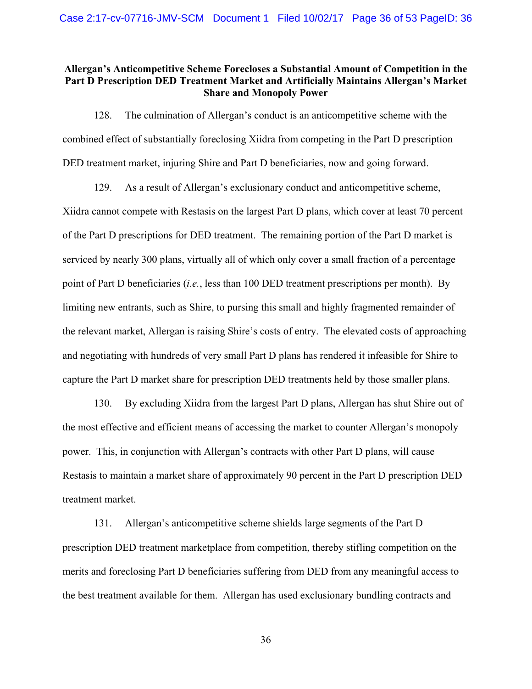## **Allergan's Anticompetitive Scheme Forecloses a Substantial Amount of Competition in the Part D Prescription DED Treatment Market and Artificially Maintains Allergan's Market Share and Monopoly Power**

128. The culmination of Allergan's conduct is an anticompetitive scheme with the combined effect of substantially foreclosing Xiidra from competing in the Part D prescription DED treatment market, injuring Shire and Part D beneficiaries, now and going forward.

129. As a result of Allergan's exclusionary conduct and anticompetitive scheme, Xiidra cannot compete with Restasis on the largest Part D plans, which cover at least 70 percent of the Part D prescriptions for DED treatment. The remaining portion of the Part D market is serviced by nearly 300 plans, virtually all of which only cover a small fraction of a percentage point of Part D beneficiaries (*i.e.*, less than 100 DED treatment prescriptions per month). By limiting new entrants, such as Shire, to pursing this small and highly fragmented remainder of the relevant market, Allergan is raising Shire's costs of entry. The elevated costs of approaching and negotiating with hundreds of very small Part D plans has rendered it infeasible for Shire to capture the Part D market share for prescription DED treatments held by those smaller plans.

130. By excluding Xiidra from the largest Part D plans, Allergan has shut Shire out of the most effective and efficient means of accessing the market to counter Allergan's monopoly power. This, in conjunction with Allergan's contracts with other Part D plans, will cause Restasis to maintain a market share of approximately 90 percent in the Part D prescription DED treatment market.

131. Allergan's anticompetitive scheme shields large segments of the Part D prescription DED treatment marketplace from competition, thereby stifling competition on the merits and foreclosing Part D beneficiaries suffering from DED from any meaningful access to the best treatment available for them. Allergan has used exclusionary bundling contracts and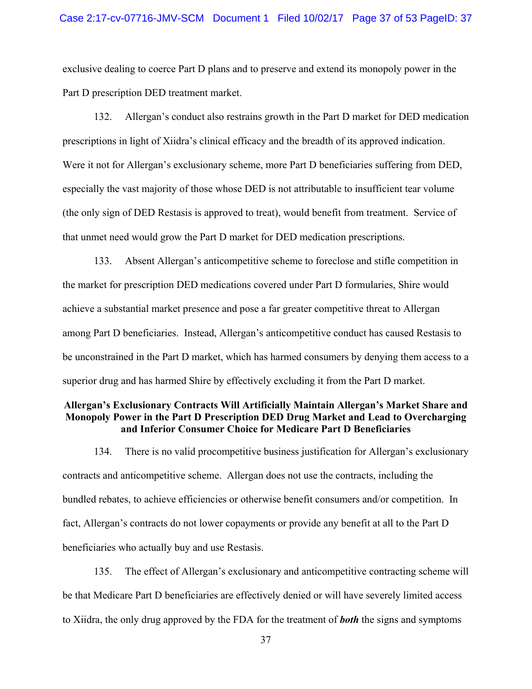### Case 2:17-cv-07716-JMV-SCM Document 1 Filed 10/02/17 Page 37 of 53 PageID: 37

exclusive dealing to coerce Part D plans and to preserve and extend its monopoly power in the Part D prescription DED treatment market.

132. Allergan's conduct also restrains growth in the Part D market for DED medication prescriptions in light of Xiidra's clinical efficacy and the breadth of its approved indication. Were it not for Allergan's exclusionary scheme, more Part D beneficiaries suffering from DED, especially the vast majority of those whose DED is not attributable to insufficient tear volume (the only sign of DED Restasis is approved to treat), would benefit from treatment. Service of that unmet need would grow the Part D market for DED medication prescriptions.

133. Absent Allergan's anticompetitive scheme to foreclose and stifle competition in the market for prescription DED medications covered under Part D formularies, Shire would achieve a substantial market presence and pose a far greater competitive threat to Allergan among Part D beneficiaries. Instead, Allergan's anticompetitive conduct has caused Restasis to be unconstrained in the Part D market, which has harmed consumers by denying them access to a superior drug and has harmed Shire by effectively excluding it from the Part D market.

## **Allergan's Exclusionary Contracts Will Artificially Maintain Allergan's Market Share and Monopoly Power in the Part D Prescription DED Drug Market and Lead to Overcharging and Inferior Consumer Choice for Medicare Part D Beneficiaries**

134. There is no valid procompetitive business justification for Allergan's exclusionary contracts and anticompetitive scheme. Allergan does not use the contracts, including the bundled rebates, to achieve efficiencies or otherwise benefit consumers and/or competition. In fact, Allergan's contracts do not lower copayments or provide any benefit at all to the Part D beneficiaries who actually buy and use Restasis.

135. The effect of Allergan's exclusionary and anticompetitive contracting scheme will be that Medicare Part D beneficiaries are effectively denied or will have severely limited access to Xiidra, the only drug approved by the FDA for the treatment of *both* the signs and symptoms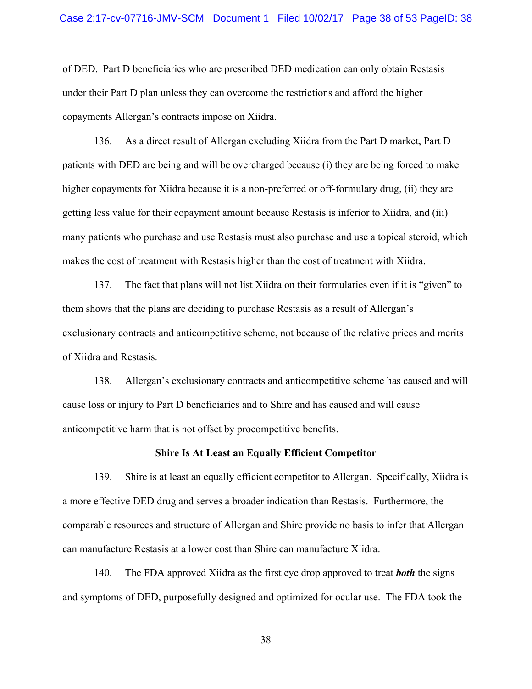of DED. Part D beneficiaries who are prescribed DED medication can only obtain Restasis under their Part D plan unless they can overcome the restrictions and afford the higher copayments Allergan's contracts impose on Xiidra.

136. As a direct result of Allergan excluding Xiidra from the Part D market, Part D patients with DED are being and will be overcharged because (i) they are being forced to make higher copayments for Xiidra because it is a non-preferred or off-formulary drug, (ii) they are getting less value for their copayment amount because Restasis is inferior to Xiidra, and (iii) many patients who purchase and use Restasis must also purchase and use a topical steroid, which makes the cost of treatment with Restasis higher than the cost of treatment with Xiidra.

137. The fact that plans will not list Xiidra on their formularies even if it is "given" to them shows that the plans are deciding to purchase Restasis as a result of Allergan's exclusionary contracts and anticompetitive scheme, not because of the relative prices and merits of Xiidra and Restasis.

138. Allergan's exclusionary contracts and anticompetitive scheme has caused and will cause loss or injury to Part D beneficiaries and to Shire and has caused and will cause anticompetitive harm that is not offset by procompetitive benefits.

### **Shire Is At Least an Equally Efficient Competitor**

139. Shire is at least an equally efficient competitor to Allergan. Specifically, Xiidra is a more effective DED drug and serves a broader indication than Restasis. Furthermore, the comparable resources and structure of Allergan and Shire provide no basis to infer that Allergan can manufacture Restasis at a lower cost than Shire can manufacture Xiidra.

140. The FDA approved Xiidra as the first eye drop approved to treat *both* the signs and symptoms of DED, purposefully designed and optimized for ocular use. The FDA took the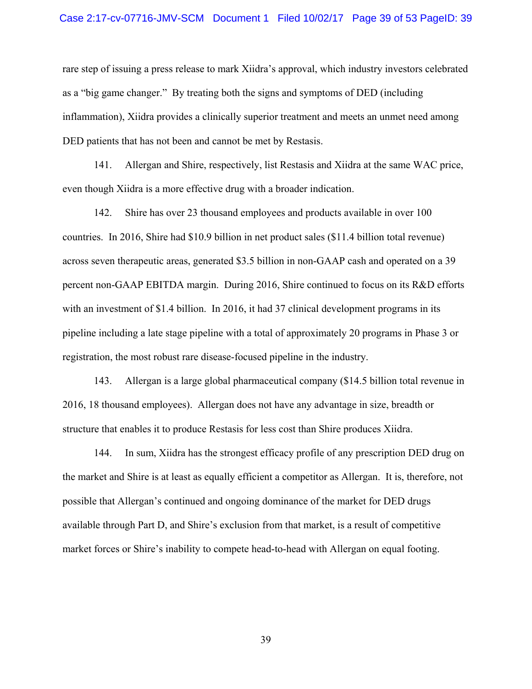#### Case 2:17-cv-07716-JMV-SCM Document 1 Filed 10/02/17 Page 39 of 53 PageID: 39

rare step of issuing a press release to mark Xiidra's approval, which industry investors celebrated as a "big game changer." By treating both the signs and symptoms of DED (including inflammation), Xiidra provides a clinically superior treatment and meets an unmet need among DED patients that has not been and cannot be met by Restasis.

141. Allergan and Shire, respectively, list Restasis and Xiidra at the same WAC price, even though Xiidra is a more effective drug with a broader indication.

142. Shire has over 23 thousand employees and products available in over 100 countries. In 2016, Shire had \$10.9 billion in net product sales (\$11.4 billion total revenue) across seven therapeutic areas, generated \$3.5 billion in non-GAAP cash and operated on a 39 percent non-GAAP EBITDA margin. During 2016, Shire continued to focus on its R&D efforts with an investment of \$1.4 billion. In 2016, it had 37 clinical development programs in its pipeline including a late stage pipeline with a total of approximately 20 programs in Phase 3 or registration, the most robust rare disease-focused pipeline in the industry.

143. Allergan is a large global pharmaceutical company (\$14.5 billion total revenue in 2016, 18 thousand employees). Allergan does not have any advantage in size, breadth or structure that enables it to produce Restasis for less cost than Shire produces Xiidra.

144. In sum, Xiidra has the strongest efficacy profile of any prescription DED drug on the market and Shire is at least as equally efficient a competitor as Allergan. It is, therefore, not possible that Allergan's continued and ongoing dominance of the market for DED drugs available through Part D, and Shire's exclusion from that market, is a result of competitive market forces or Shire's inability to compete head-to-head with Allergan on equal footing.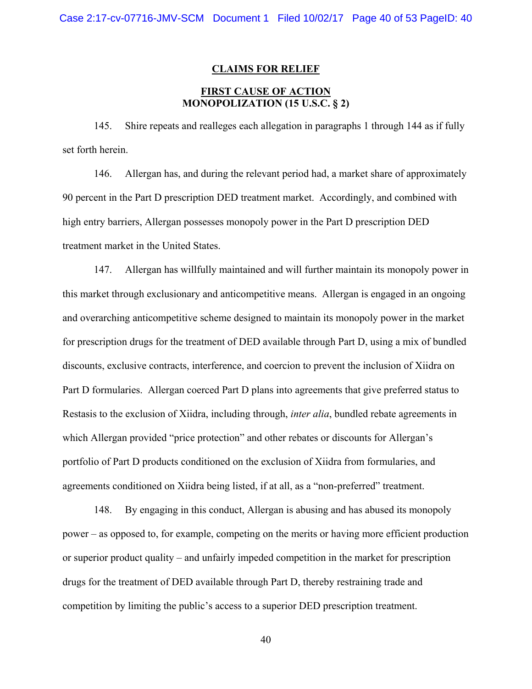### **CLAIMS FOR RELIEF**

## **FIRST CAUSE OF ACTION MONOPOLIZATION (15 U.S.C. § 2)**

145. Shire repeats and realleges each allegation in paragraphs 1 through 144 as if fully set forth herein.

146. Allergan has, and during the relevant period had, a market share of approximately 90 percent in the Part D prescription DED treatment market. Accordingly, and combined with high entry barriers, Allergan possesses monopoly power in the Part D prescription DED treatment market in the United States.

147. Allergan has willfully maintained and will further maintain its monopoly power in this market through exclusionary and anticompetitive means. Allergan is engaged in an ongoing and overarching anticompetitive scheme designed to maintain its monopoly power in the market for prescription drugs for the treatment of DED available through Part D, using a mix of bundled discounts, exclusive contracts, interference, and coercion to prevent the inclusion of Xiidra on Part D formularies. Allergan coerced Part D plans into agreements that give preferred status to Restasis to the exclusion of Xiidra, including through, *inter alia*, bundled rebate agreements in which Allergan provided "price protection" and other rebates or discounts for Allergan's portfolio of Part D products conditioned on the exclusion of Xiidra from formularies, and agreements conditioned on Xiidra being listed, if at all, as a "non-preferred" treatment.

148. By engaging in this conduct, Allergan is abusing and has abused its monopoly power – as opposed to, for example, competing on the merits or having more efficient production or superior product quality – and unfairly impeded competition in the market for prescription drugs for the treatment of DED available through Part D, thereby restraining trade and competition by limiting the public's access to a superior DED prescription treatment.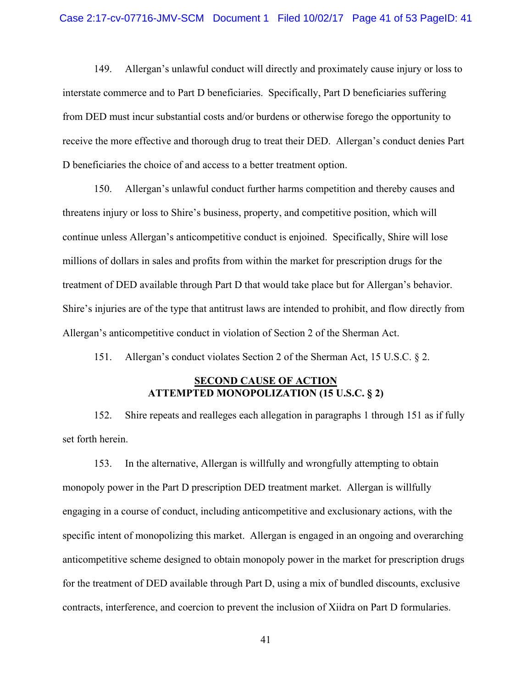149. Allergan's unlawful conduct will directly and proximately cause injury or loss to interstate commerce and to Part D beneficiaries. Specifically, Part D beneficiaries suffering from DED must incur substantial costs and/or burdens or otherwise forego the opportunity to receive the more effective and thorough drug to treat their DED. Allergan's conduct denies Part D beneficiaries the choice of and access to a better treatment option.

150. Allergan's unlawful conduct further harms competition and thereby causes and threatens injury or loss to Shire's business, property, and competitive position, which will continue unless Allergan's anticompetitive conduct is enjoined. Specifically, Shire will lose millions of dollars in sales and profits from within the market for prescription drugs for the treatment of DED available through Part D that would take place but for Allergan's behavior. Shire's injuries are of the type that antitrust laws are intended to prohibit, and flow directly from Allergan's anticompetitive conduct in violation of Section 2 of the Sherman Act.

151. Allergan's conduct violates Section 2 of the Sherman Act, 15 U.S.C. § 2.

### **SECOND CAUSE OF ACTION ATTEMPTED MONOPOLIZATION (15 U.S.C. § 2)**

152. Shire repeats and realleges each allegation in paragraphs 1 through 151 as if fully set forth herein.

153. In the alternative, Allergan is willfully and wrongfully attempting to obtain monopoly power in the Part D prescription DED treatment market. Allergan is willfully engaging in a course of conduct, including anticompetitive and exclusionary actions, with the specific intent of monopolizing this market. Allergan is engaged in an ongoing and overarching anticompetitive scheme designed to obtain monopoly power in the market for prescription drugs for the treatment of DED available through Part D, using a mix of bundled discounts, exclusive contracts, interference, and coercion to prevent the inclusion of Xiidra on Part D formularies.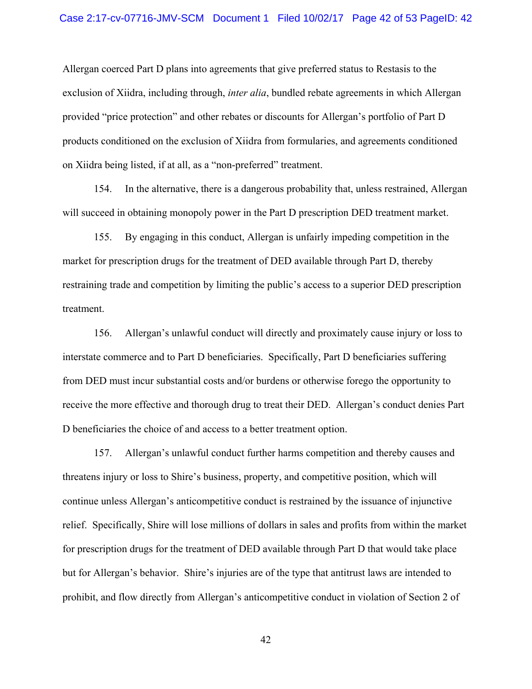#### Case 2:17-cv-07716-JMV-SCM Document 1 Filed 10/02/17 Page 42 of 53 PageID: 42

Allergan coerced Part D plans into agreements that give preferred status to Restasis to the exclusion of Xiidra, including through, *inter alia*, bundled rebate agreements in which Allergan provided "price protection" and other rebates or discounts for Allergan's portfolio of Part D products conditioned on the exclusion of Xiidra from formularies, and agreements conditioned on Xiidra being listed, if at all, as a "non-preferred" treatment.

154. In the alternative, there is a dangerous probability that, unless restrained, Allergan will succeed in obtaining monopoly power in the Part D prescription DED treatment market.

155. By engaging in this conduct, Allergan is unfairly impeding competition in the market for prescription drugs for the treatment of DED available through Part D, thereby restraining trade and competition by limiting the public's access to a superior DED prescription treatment.

156. Allergan's unlawful conduct will directly and proximately cause injury or loss to interstate commerce and to Part D beneficiaries. Specifically, Part D beneficiaries suffering from DED must incur substantial costs and/or burdens or otherwise forego the opportunity to receive the more effective and thorough drug to treat their DED. Allergan's conduct denies Part D beneficiaries the choice of and access to a better treatment option.

157. Allergan's unlawful conduct further harms competition and thereby causes and threatens injury or loss to Shire's business, property, and competitive position, which will continue unless Allergan's anticompetitive conduct is restrained by the issuance of injunctive relief. Specifically, Shire will lose millions of dollars in sales and profits from within the market for prescription drugs for the treatment of DED available through Part D that would take place but for Allergan's behavior. Shire's injuries are of the type that antitrust laws are intended to prohibit, and flow directly from Allergan's anticompetitive conduct in violation of Section 2 of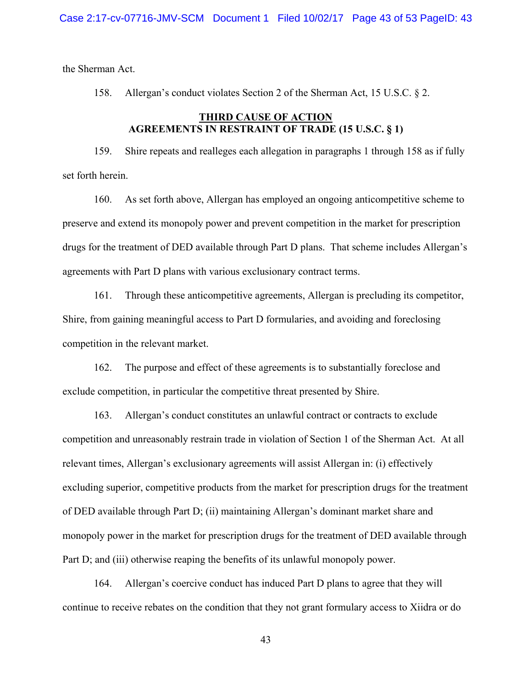the Sherman Act.

158. Allergan's conduct violates Section 2 of the Sherman Act, 15 U.S.C. § 2.

## **THIRD CAUSE OF ACTION AGREEMENTS IN RESTRAINT OF TRADE (15 U.S.C. § 1)**

159. Shire repeats and realleges each allegation in paragraphs 1 through 158 as if fully set forth herein.

160. As set forth above, Allergan has employed an ongoing anticompetitive scheme to preserve and extend its monopoly power and prevent competition in the market for prescription drugs for the treatment of DED available through Part D plans. That scheme includes Allergan's agreements with Part D plans with various exclusionary contract terms.

161. Through these anticompetitive agreements, Allergan is precluding its competitor, Shire, from gaining meaningful access to Part D formularies, and avoiding and foreclosing competition in the relevant market.

162. The purpose and effect of these agreements is to substantially foreclose and exclude competition, in particular the competitive threat presented by Shire.

163. Allergan's conduct constitutes an unlawful contract or contracts to exclude competition and unreasonably restrain trade in violation of Section 1 of the Sherman Act. At all relevant times, Allergan's exclusionary agreements will assist Allergan in: (i) effectively excluding superior, competitive products from the market for prescription drugs for the treatment of DED available through Part D; (ii) maintaining Allergan's dominant market share and monopoly power in the market for prescription drugs for the treatment of DED available through Part D; and (iii) otherwise reaping the benefits of its unlawful monopoly power.

164. Allergan's coercive conduct has induced Part D plans to agree that they will continue to receive rebates on the condition that they not grant formulary access to Xiidra or do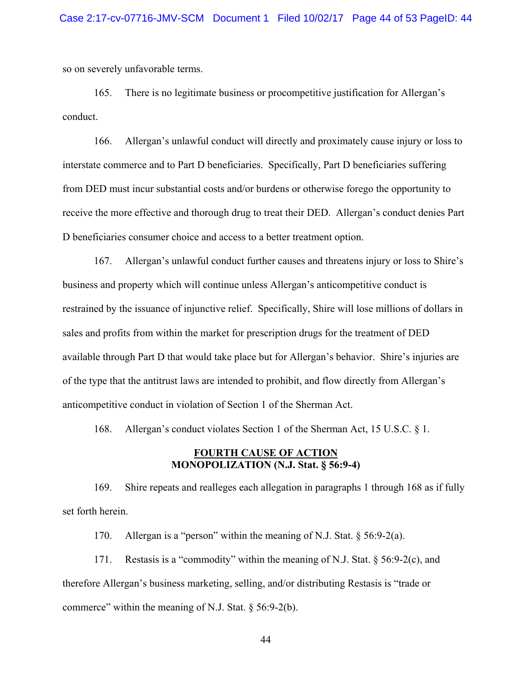so on severely unfavorable terms.

165. There is no legitimate business or procompetitive justification for Allergan's conduct.

166. Allergan's unlawful conduct will directly and proximately cause injury or loss to interstate commerce and to Part D beneficiaries. Specifically, Part D beneficiaries suffering from DED must incur substantial costs and/or burdens or otherwise forego the opportunity to receive the more effective and thorough drug to treat their DED. Allergan's conduct denies Part D beneficiaries consumer choice and access to a better treatment option.

167. Allergan's unlawful conduct further causes and threatens injury or loss to Shire's business and property which will continue unless Allergan's anticompetitive conduct is restrained by the issuance of injunctive relief. Specifically, Shire will lose millions of dollars in sales and profits from within the market for prescription drugs for the treatment of DED available through Part D that would take place but for Allergan's behavior. Shire's injuries are of the type that the antitrust laws are intended to prohibit, and flow directly from Allergan's anticompetitive conduct in violation of Section 1 of the Sherman Act.

168. Allergan's conduct violates Section 1 of the Sherman Act, 15 U.S.C. § 1.

### **FOURTH CAUSE OF ACTION MONOPOLIZATION (N.J. Stat. § 56:9-4)**

169. Shire repeats and realleges each allegation in paragraphs 1 through 168 as if fully set forth herein.

170. Allergan is a "person" within the meaning of N.J. Stat. § 56:9-2(a).

171. Restasis is a "commodity" within the meaning of N.J. Stat. § 56:9-2(c), and therefore Allergan's business marketing, selling, and/or distributing Restasis is "trade or commerce" within the meaning of N.J. Stat.  $\S$  56:9-2(b).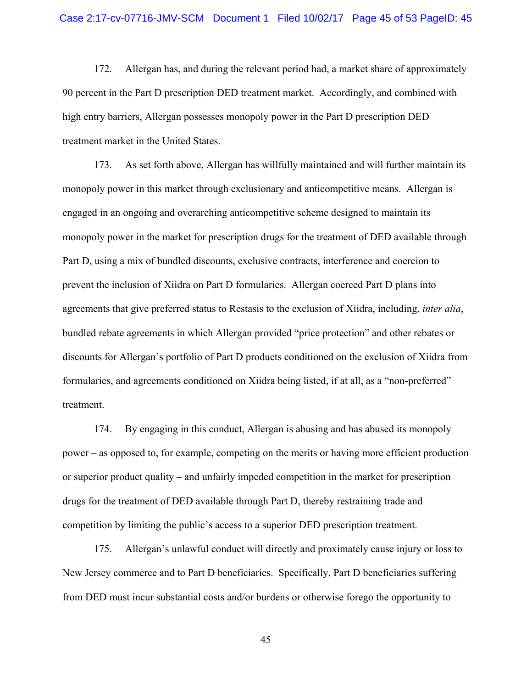172. Allergan has, and during the relevant period had, a market share of approximately 90 percent in the Part D prescription DED treatment market. Accordingly, and combined with high entry barriers, Allergan possesses monopoly power in the Part D prescription DED treatment market in the United States.

173. As set forth above, Allergan has willfully maintained and will further maintain its monopoly power in this market through exclusionary and anticompetitive means. Allergan is engaged in an ongoing and overarching anticompetitive scheme designed to maintain its monopoly power in the market for prescription drugs for the treatment of DED available through Part D, using a mix of bundled discounts, exclusive contracts, interference and coercion to prevent the inclusion of Xiidra on Part D formularies. Allergan coerced Part D plans into agreements that give preferred status to Restasis to the exclusion of Xiidra, including, *inter alia*, bundled rebate agreements in which Allergan provided "price protection" and other rebates or discounts for Allergan's portfolio of Part D products conditioned on the exclusion of Xiidra from formularies, and agreements conditioned on Xiidra being listed, if at all, as a "non-preferred" treatment.

174. By engaging in this conduct, Allergan is abusing and has abused its monopoly power – as opposed to, for example, competing on the merits or having more efficient production or superior product quality – and unfairly impeded competition in the market for prescription drugs for the treatment of DED available through Part D, thereby restraining trade and competition by limiting the public's access to a superior DED prescription treatment.

175. Allergan's unlawful conduct will directly and proximately cause injury or loss to New Jersey commerce and to Part D beneficiaries. Specifically, Part D beneficiaries suffering from DED must incur substantial costs and/or burdens or otherwise forego the opportunity to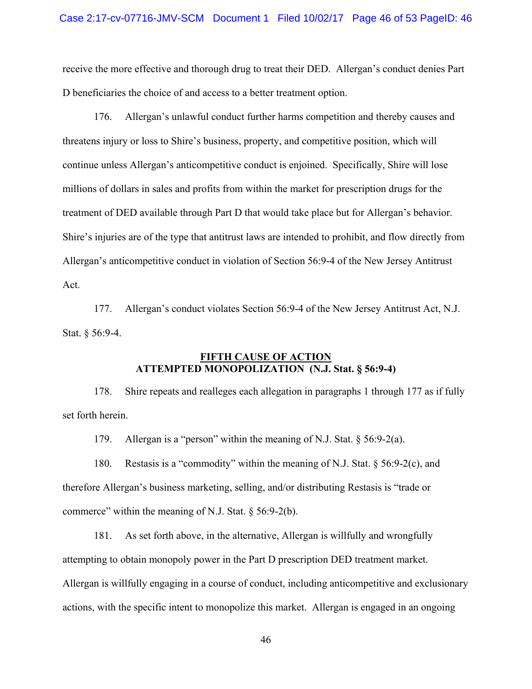receive the more effective and thorough drug to treat their DED. Allergan's conduct denies Part D beneficiaries the choice of and access to a better treatment option.

176. Allergan's unlawful conduct further harms competition and thereby causes and threatens injury or loss to Shire's business, property, and competitive position, which will continue unless Allergan's anticompetitive conduct is enjoined. Specifically, Shire will lose millions of dollars in sales and profits from within the market for prescription drugs for the treatment of DED available through Part D that would take place but for Allergan's behavior. Shire's injuries are of the type that antitrust laws are intended to prohibit, and flow directly from Allergan's anticompetitive conduct in violation of Section 56:9-4 of the New Jersey Antitrust Act.

177. Allergan's conduct violates Section 56:9-4 of the New Jersey Antitrust Act, N.J. Stat. § 56:9-4.

## **FIFTH CAUSE OF ACTION ATTEMPTED MONOPOLIZATION (N.J. Stat. § 56:9-4)**

178. Shire repeats and realleges each allegation in paragraphs 1 through 177 as if fully set forth herein.

179. Allergan is a "person" within the meaning of N.J. Stat. § 56:9-2(a).

180. Restasis is a "commodity" within the meaning of N.J. Stat. § 56:9-2(c), and therefore Allergan's business marketing, selling, and/or distributing Restasis is "trade or commerce" within the meaning of N.J. Stat.  $\S$  56:9-2(b).

181. As set forth above, in the alternative, Allergan is willfully and wrongfully attempting to obtain monopoly power in the Part D prescription DED treatment market. Allergan is willfully engaging in a course of conduct, including anticompetitive and exclusionary actions, with the specific intent to monopolize this market. Allergan is engaged in an ongoing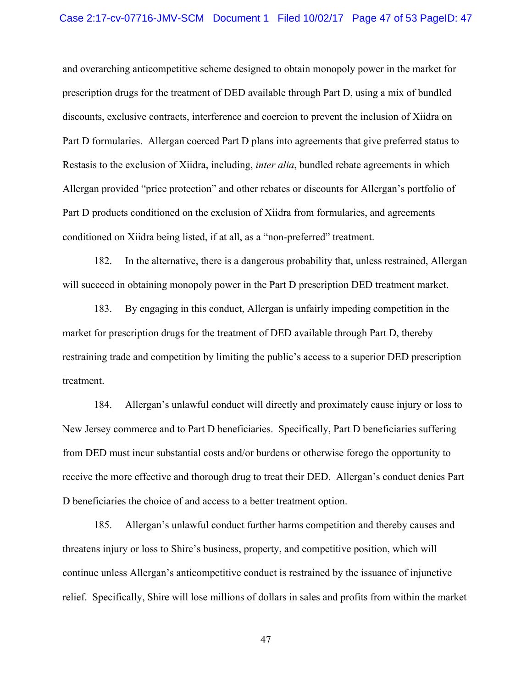#### Case 2:17-cv-07716-JMV-SCM Document 1 Filed 10/02/17 Page 47 of 53 PageID: 47

and overarching anticompetitive scheme designed to obtain monopoly power in the market for prescription drugs for the treatment of DED available through Part D, using a mix of bundled discounts, exclusive contracts, interference and coercion to prevent the inclusion of Xiidra on Part D formularies. Allergan coerced Part D plans into agreements that give preferred status to Restasis to the exclusion of Xiidra, including, *inter alia*, bundled rebate agreements in which Allergan provided "price protection" and other rebates or discounts for Allergan's portfolio of Part D products conditioned on the exclusion of Xiidra from formularies, and agreements conditioned on Xiidra being listed, if at all, as a "non-preferred" treatment.

182. In the alternative, there is a dangerous probability that, unless restrained, Allergan will succeed in obtaining monopoly power in the Part D prescription DED treatment market.

183. By engaging in this conduct, Allergan is unfairly impeding competition in the market for prescription drugs for the treatment of DED available through Part D, thereby restraining trade and competition by limiting the public's access to a superior DED prescription treatment.

184. Allergan's unlawful conduct will directly and proximately cause injury or loss to New Jersey commerce and to Part D beneficiaries. Specifically, Part D beneficiaries suffering from DED must incur substantial costs and/or burdens or otherwise forego the opportunity to receive the more effective and thorough drug to treat their DED. Allergan's conduct denies Part D beneficiaries the choice of and access to a better treatment option.

185. Allergan's unlawful conduct further harms competition and thereby causes and threatens injury or loss to Shire's business, property, and competitive position, which will continue unless Allergan's anticompetitive conduct is restrained by the issuance of injunctive relief. Specifically, Shire will lose millions of dollars in sales and profits from within the market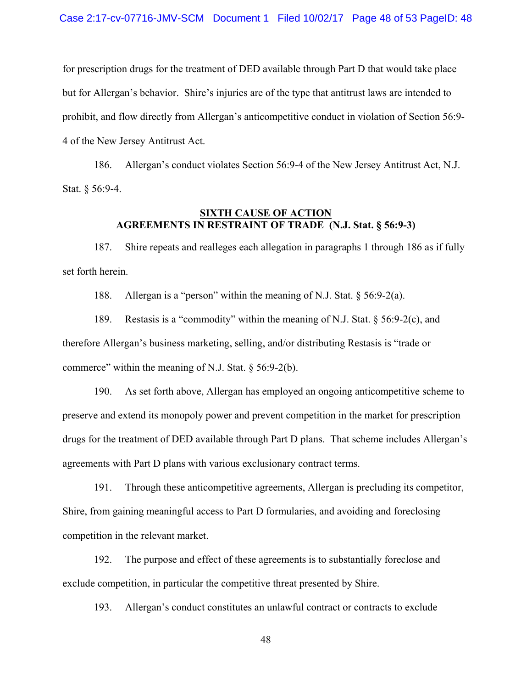for prescription drugs for the treatment of DED available through Part D that would take place but for Allergan's behavior. Shire's injuries are of the type that antitrust laws are intended to prohibit, and flow directly from Allergan's anticompetitive conduct in violation of Section 56:9- 4 of the New Jersey Antitrust Act.

186. Allergan's conduct violates Section 56:9-4 of the New Jersey Antitrust Act, N.J. Stat. § 56:9-4.

## **SIXTH CAUSE OF ACTION AGREEMENTS IN RESTRAINT OF TRADE (N.J. Stat. § 56:9-3)**

187. Shire repeats and realleges each allegation in paragraphs 1 through 186 as if fully set forth herein.

188. Allergan is a "person" within the meaning of N.J. Stat. § 56:9-2(a).

189. Restasis is a "commodity" within the meaning of N.J. Stat. § 56:9-2(c), and therefore Allergan's business marketing, selling, and/or distributing Restasis is "trade or commerce" within the meaning of N.J. Stat.  $\S$  56:9-2(b).

190. As set forth above, Allergan has employed an ongoing anticompetitive scheme to preserve and extend its monopoly power and prevent competition in the market for prescription drugs for the treatment of DED available through Part D plans. That scheme includes Allergan's agreements with Part D plans with various exclusionary contract terms.

191. Through these anticompetitive agreements, Allergan is precluding its competitor, Shire, from gaining meaningful access to Part D formularies, and avoiding and foreclosing competition in the relevant market.

192. The purpose and effect of these agreements is to substantially foreclose and exclude competition, in particular the competitive threat presented by Shire.

193. Allergan's conduct constitutes an unlawful contract or contracts to exclude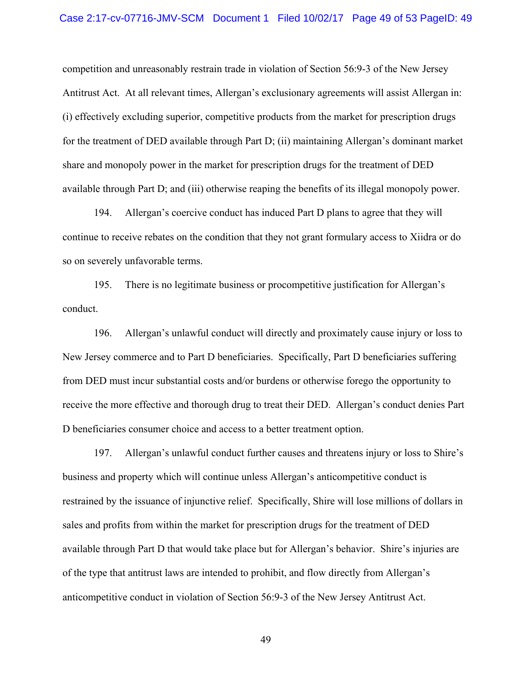competition and unreasonably restrain trade in violation of Section 56:9-3 of the New Jersey Antitrust Act. At all relevant times, Allergan's exclusionary agreements will assist Allergan in: (i) effectively excluding superior, competitive products from the market for prescription drugs for the treatment of DED available through Part D; (ii) maintaining Allergan's dominant market share and monopoly power in the market for prescription drugs for the treatment of DED available through Part D; and (iii) otherwise reaping the benefits of its illegal monopoly power.

194. Allergan's coercive conduct has induced Part D plans to agree that they will continue to receive rebates on the condition that they not grant formulary access to Xiidra or do so on severely unfavorable terms.

195. There is no legitimate business or procompetitive justification for Allergan's conduct.

196. Allergan's unlawful conduct will directly and proximately cause injury or loss to New Jersey commerce and to Part D beneficiaries. Specifically, Part D beneficiaries suffering from DED must incur substantial costs and/or burdens or otherwise forego the opportunity to receive the more effective and thorough drug to treat their DED. Allergan's conduct denies Part D beneficiaries consumer choice and access to a better treatment option.

197. Allergan's unlawful conduct further causes and threatens injury or loss to Shire's business and property which will continue unless Allergan's anticompetitive conduct is restrained by the issuance of injunctive relief. Specifically, Shire will lose millions of dollars in sales and profits from within the market for prescription drugs for the treatment of DED available through Part D that would take place but for Allergan's behavior. Shire's injuries are of the type that antitrust laws are intended to prohibit, and flow directly from Allergan's anticompetitive conduct in violation of Section 56:9-3 of the New Jersey Antitrust Act.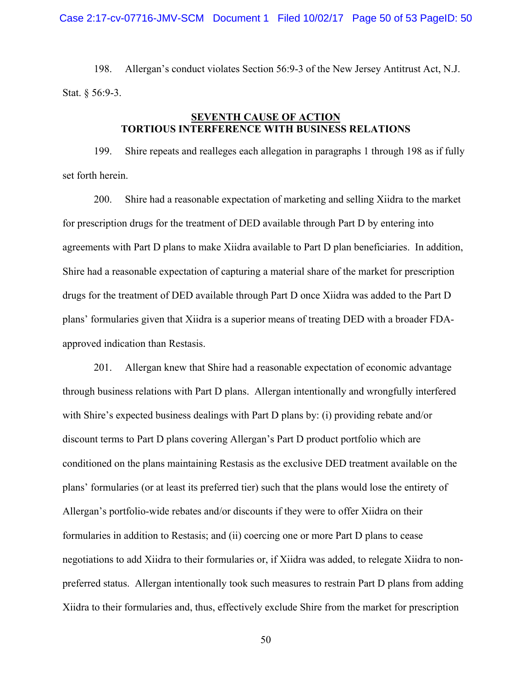198. Allergan's conduct violates Section 56:9-3 of the New Jersey Antitrust Act, N.J. Stat. § 56:9-3.

## **SEVENTH CAUSE OF ACTION TORTIOUS INTERFERENCE WITH BUSINESS RELATIONS**

199. Shire repeats and realleges each allegation in paragraphs 1 through 198 as if fully set forth herein.

200. Shire had a reasonable expectation of marketing and selling Xiidra to the market for prescription drugs for the treatment of DED available through Part D by entering into agreements with Part D plans to make Xiidra available to Part D plan beneficiaries. In addition, Shire had a reasonable expectation of capturing a material share of the market for prescription drugs for the treatment of DED available through Part D once Xiidra was added to the Part D plans' formularies given that Xiidra is a superior means of treating DED with a broader FDAapproved indication than Restasis.

201. Allergan knew that Shire had a reasonable expectation of economic advantage through business relations with Part D plans. Allergan intentionally and wrongfully interfered with Shire's expected business dealings with Part D plans by: (i) providing rebate and/or discount terms to Part D plans covering Allergan's Part D product portfolio which are conditioned on the plans maintaining Restasis as the exclusive DED treatment available on the plans' formularies (or at least its preferred tier) such that the plans would lose the entirety of Allergan's portfolio-wide rebates and/or discounts if they were to offer Xiidra on their formularies in addition to Restasis; and (ii) coercing one or more Part D plans to cease negotiations to add Xiidra to their formularies or, if Xiidra was added, to relegate Xiidra to nonpreferred status. Allergan intentionally took such measures to restrain Part D plans from adding Xiidra to their formularies and, thus, effectively exclude Shire from the market for prescription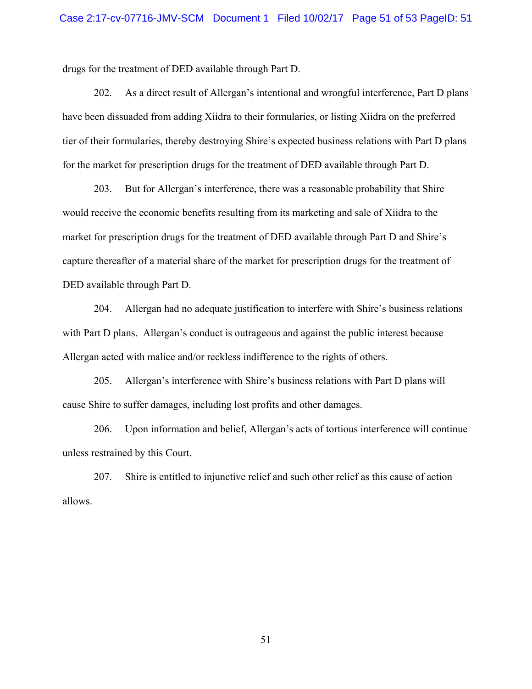drugs for the treatment of DED available through Part D.

202. As a direct result of Allergan's intentional and wrongful interference, Part D plans have been dissuaded from adding Xiidra to their formularies, or listing Xiidra on the preferred tier of their formularies, thereby destroying Shire's expected business relations with Part D plans for the market for prescription drugs for the treatment of DED available through Part D.

203. But for Allergan's interference, there was a reasonable probability that Shire would receive the economic benefits resulting from its marketing and sale of Xiidra to the market for prescription drugs for the treatment of DED available through Part D and Shire's capture thereafter of a material share of the market for prescription drugs for the treatment of DED available through Part D.

204. Allergan had no adequate justification to interfere with Shire's business relations with Part D plans. Allergan's conduct is outrageous and against the public interest because Allergan acted with malice and/or reckless indifference to the rights of others.

205. Allergan's interference with Shire's business relations with Part D plans will cause Shire to suffer damages, including lost profits and other damages.

206. Upon information and belief, Allergan's acts of tortious interference will continue unless restrained by this Court.

207. Shire is entitled to injunctive relief and such other relief as this cause of action allows.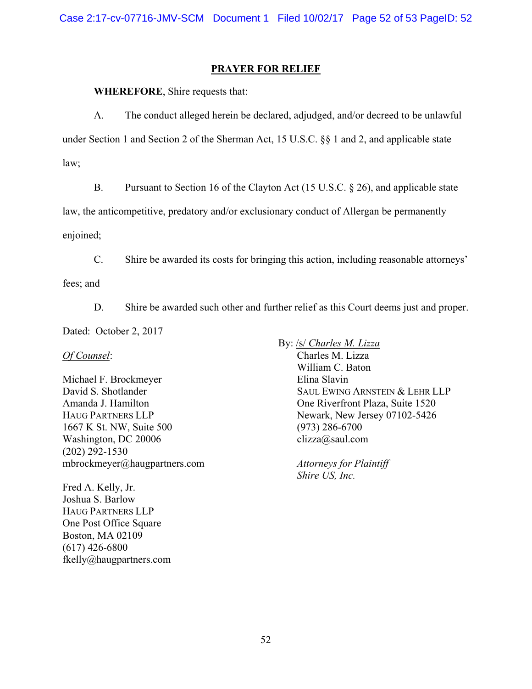## **PRAYER FOR RELIEF**

**WHEREFORE**, Shire requests that:

A. The conduct alleged herein be declared, adjudged, and/or decreed to be unlawful under Section 1 and Section 2 of the Sherman Act, 15 U.S.C. §§ 1 and 2, and applicable state law;

B. Pursuant to Section 16 of the Clayton Act (15 U.S.C. § 26), and applicable state

law, the anticompetitive, predatory and/or exclusionary conduct of Allergan be permanently

enjoined;

C. Shire be awarded its costs for bringing this action, including reasonable attorneys'

fees; and

D. Shire be awarded such other and further relief as this Court deems just and proper.

Dated: October 2, 2017

*Of Counsel*:

Michael F. Brockmeyer David S. Shotlander Amanda J. Hamilton HAUG PARTNERS LLP 1667 K St. NW, Suite 500 Washington, DC 20006 (202) 292-1530 mbrockmeyer@haugpartners.com

Fred A. Kelly, Jr. Joshua S. Barlow HAUG PARTNERS LLP One Post Office Square Boston, MA 02109 (617) 426-6800 fkelly@haugpartners.com By: /s/ *Charles M. Lizza* Charles M. Lizza William C. Baton Elina Slavin SAUL EWING ARNSTEIN & LEHR LLP One Riverfront Plaza, Suite 1520 Newark, New Jersey 07102-5426 (973) 286-6700 clizza@saul.com

> *Attorneys for Plaintiff Shire US, Inc.*